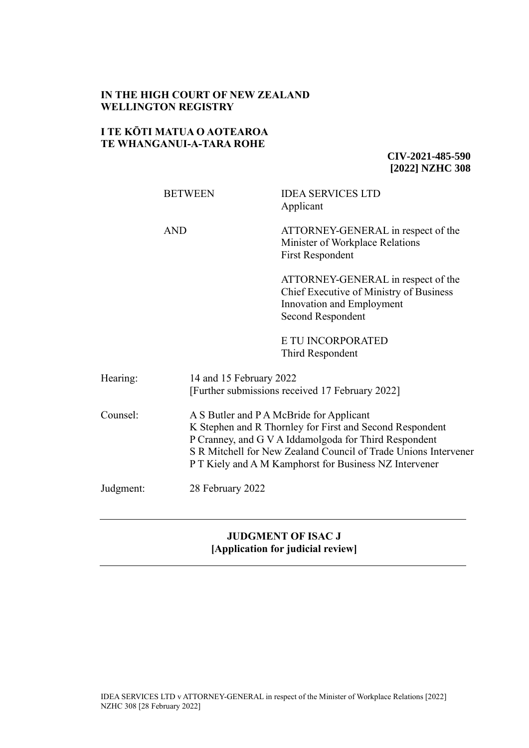# **IN THE HIGH COURT OF NEW ZEALAND WELLINGTON REGISTRY**

# **I TE KŌTI MATUA O AOTEAROA TE WHANGANUI-A-TARA ROHE**

**CIV-2021-485-590 [2022] NZHC 308**

|           | <b>BETWEEN</b>   | <b>IDEA SERVICES LTD</b><br>Applicant                                                                                                                                                                                                                                                      |  |
|-----------|------------------|--------------------------------------------------------------------------------------------------------------------------------------------------------------------------------------------------------------------------------------------------------------------------------------------|--|
|           | <b>AND</b>       | ATTORNEY-GENERAL in respect of the<br>Minister of Workplace Relations<br><b>First Respondent</b>                                                                                                                                                                                           |  |
|           |                  | ATTORNEY-GENERAL in respect of the<br>Chief Executive of Ministry of Business<br>Innovation and Employment<br>Second Respondent                                                                                                                                                            |  |
|           |                  | E TU INCORPORATED<br>Third Respondent                                                                                                                                                                                                                                                      |  |
| Hearing:  |                  | 14 and 15 February 2022<br>[Further submissions received 17 February 2022]                                                                                                                                                                                                                 |  |
| Counsel:  |                  | A S Butler and P A McBride for Applicant<br>K Stephen and R Thornley for First and Second Respondent<br>P Cranney, and G V A Iddamolgoda for Third Respondent<br>S R Mitchell for New Zealand Council of Trade Unions Intervener<br>P T Kiely and A M Kamphorst for Business NZ Intervener |  |
| Judgment: | 28 February 2022 |                                                                                                                                                                                                                                                                                            |  |

# **JUDGMENT OF ISAC J [Application for judicial review]**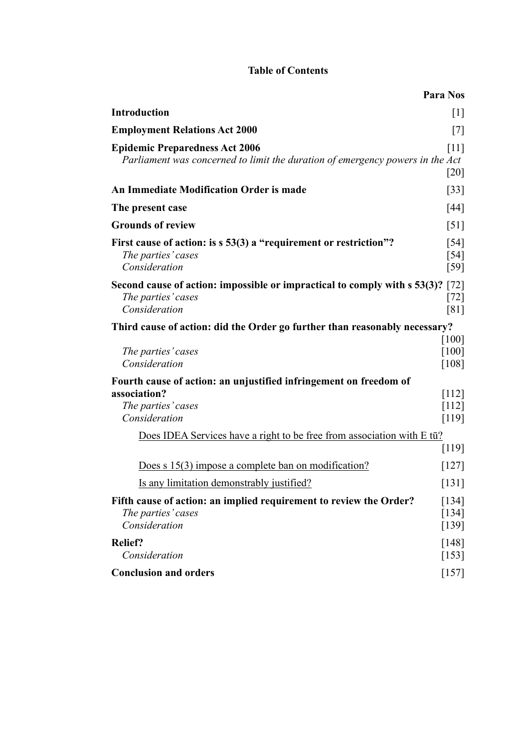# **Table of Contents**

|                                                                                                                        | <b>Para Nos</b>                                |
|------------------------------------------------------------------------------------------------------------------------|------------------------------------------------|
| <b>Introduction</b>                                                                                                    | $[1]$                                          |
| <b>Employment Relations Act 2000</b>                                                                                   | $[7]$                                          |
| <b>Epidemic Preparedness Act 2006</b><br>Parliament was concerned to limit the duration of emergency powers in the Act | [11]<br>$[20]$                                 |
| <b>An Immediate Modification Order is made</b>                                                                         | $[33]$                                         |
| The present case                                                                                                       | [44]                                           |
| <b>Grounds of review</b>                                                                                               | $\lceil 51 \rceil$                             |
| First cause of action: is s 53(3) a "requirement or restriction"?<br>The parties' cases<br>Consideration               | $\left[54\right]$<br>[54]<br>$\left[59\right]$ |
| Second cause of action: impossible or impractical to comply with s 53(3)? [72]<br>The parties' cases<br>Consideration  | $[72]$<br>[81]                                 |
| Third cause of action: did the Order go further than reasonably necessary?                                             |                                                |
| The parties' cases<br>Consideration                                                                                    | [100]<br>[100]<br>[108]                        |
| Fourth cause of action: an unjustified infringement on freedom of                                                      |                                                |
| association?<br>The parties' cases<br>Consideration                                                                    | $[112]$<br>$[112]$<br>[119]                    |
| Does IDEA Services have a right to be free from association with E tū?                                                 |                                                |
|                                                                                                                        | [119]                                          |
| Does s 15(3) impose a complete ban on modification?                                                                    | [127]                                          |
| Is any limitation demonstrably justified?                                                                              | $[131]$                                        |
| Fifth cause of action: an implied requirement to review the Order?<br>The parties' cases<br>Consideration              | [134]<br>[134]<br>$[139]$                      |
| <b>Relief?</b><br>Consideration                                                                                        | [148]<br>$[153]$                               |
| <b>Conclusion and orders</b>                                                                                           | $[157]$                                        |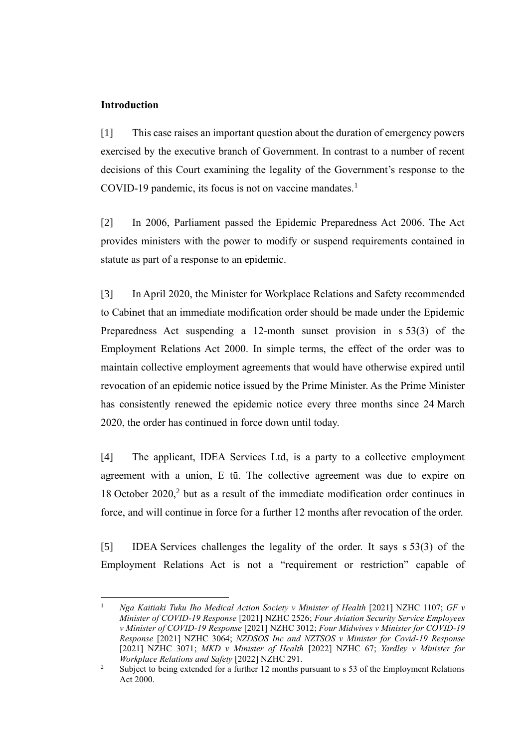### **Introduction**

<span id="page-2-0"></span>[1] This case raises an important question about the duration of emergency powers exercised by the executive branch of Government. In contrast to a number of recent decisions of this Court examining the legality of the Government's response to the COVID-19 pandemic, its focus is not on vaccine mandates. $<sup>1</sup>$ </sup>

[2] In 2006, Parliament passed the Epidemic Preparedness Act 2006. The Act provides ministers with the power to modify or suspend requirements contained in statute as part of a response to an epidemic.

[3] In April 2020, the Minister for Workplace Relations and Safety recommended to Cabinet that an immediate modification order should be made under the Epidemic Preparedness Act suspending a 12-month sunset provision in s 53(3) of the Employment Relations Act 2000. In simple terms, the effect of the order was to maintain collective employment agreements that would have otherwise expired until revocation of an epidemic notice issued by the Prime Minister. As the Prime Minister has consistently renewed the epidemic notice every three months since 24 March 2020, the order has continued in force down until today.

[4] The applicant, IDEA Services Ltd, is a party to a collective employment agreement with a union, E tū. The collective agreement was due to expire on 18 October 2020, $2$  but as a result of the immediate modification order continues in force, and will continue in force for a further 12 months after revocation of the order.

[5] IDEA Services challenges the legality of the order. It says s 53(3) of the Employment Relations Act is not a "requirement or restriction" capable of

<sup>1</sup> *Nga Kaitiaki Tuku Iho Medical Action Society v Minister of Health* [2021] NZHC 1107; *GF v Minister of COVID-19 Response* [2021] NZHC 2526; *Four Aviation Security Service Employees v Minister of COVID-19 Response* [2021] NZHC 3012; *Four Midwives v Minister for COVID-19 Response* [2021] NZHC 3064; *NZDSOS Inc and NZTSOS v Minister for Covid-19 Response* [2021] NZHC 3071; *MKD v Minister of Health* [2022] NZHC 67; *Yardley v Minister for Workplace Relations and Safety* [2022] NZHC 291.

<sup>&</sup>lt;sup>2</sup> Subject to being extended for a further 12 months pursuant to s 53 of the Employment Relations Act 2000.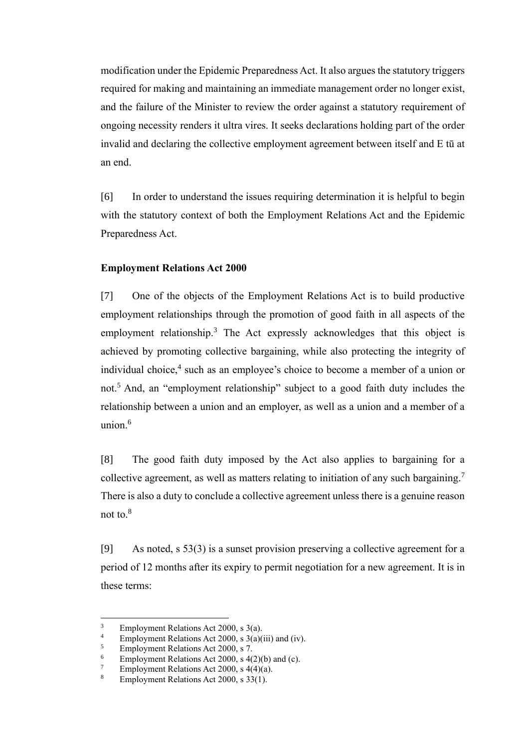modification under the Epidemic Preparedness Act. It also argues the statutory triggers required for making and maintaining an immediate management order no longer exist, and the failure of the Minister to review the order against a statutory requirement of ongoing necessity renders it ultra vires. It seeks declarations holding part of the order invalid and declaring the collective employment agreement between itself and E tū at an end.

[6] In order to understand the issues requiring determination it is helpful to begin with the statutory context of both the Employment Relations Act and the Epidemic Preparedness Act.

### **Employment Relations Act 2000**

<span id="page-3-0"></span>[7] One of the objects of the Employment Relations Act is to build productive employment relationships through the promotion of good faith in all aspects of the employment relationship.<sup>3</sup> The Act expressly acknowledges that this object is achieved by promoting collective bargaining, while also protecting the integrity of individual choice,<sup>4</sup> such as an employee's choice to become a member of a union or not.<sup>5</sup> And, an "employment relationship" subject to a good faith duty includes the relationship between a union and an employer, as well as a union and a member of a union $6$ 

[8] The good faith duty imposed by the Act also applies to bargaining for a collective agreement, as well as matters relating to initiation of any such bargaining.<sup>7</sup> There is also a duty to conclude a collective agreement unless there is a genuine reason not to.<sup>8</sup>

[9] As noted, s 53(3) is a sunset provision preserving a collective agreement for a period of 12 months after its expiry to permit negotiation for a new agreement. It is in these terms:

<sup>&</sup>lt;sup>3</sup> Employment Relations Act 2000, s 3(a).<br><sup>4</sup> Employment Relations Act 2000, s 3(a)(

<sup>&</sup>lt;sup>4</sup> Employment Relations Act 2000, s 3(a)(iii) and (iv).<br> **Employment Relations Act 2000, s 7** 

<sup>5</sup> Employment Relations Act 2000, s 7.

<sup>&</sup>lt;sup>6</sup> Employment Relations Act 2000, s 4(2)(b) and (c).<br><sup>7</sup> Employment Relations Act 2000, s 4(4)(e).

<sup>&</sup>lt;sup>7</sup> Employment Relations Act 2000, s  $4(4)(a)$ .<br><sup>8</sup> Employment Relations Act 2000, s  $32(1)$ .

Employment Relations Act 2000, s 33(1).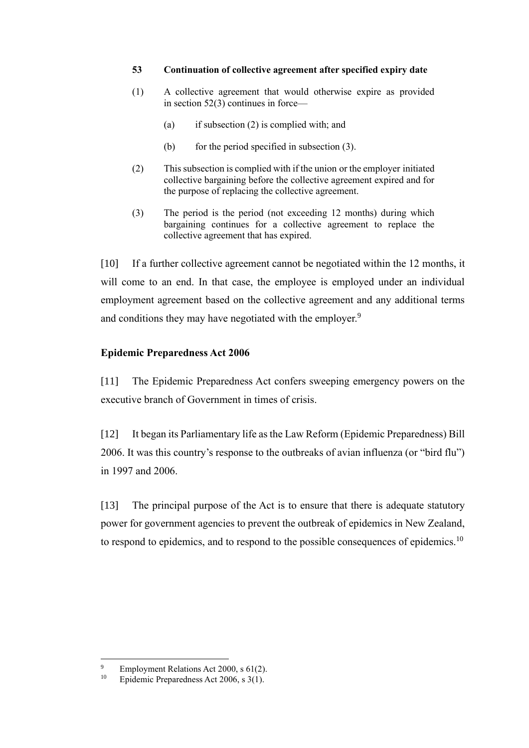### **53 Continuation of collective agreement after specified expiry date**

- (1) A collective agreement that would otherwise expire as provided in [section](https://www.legislation.govt.nz/act/public/2000/0024/latest/whole.html#DLM59113) 52(3) continues in force—
	- (a) if subsection (2) is complied with; and
	- (b) for the period specified in subsection  $(3)$ .
- (2) This subsection is complied with if the union or the employer initiated collective bargaining before the collective agreement expired and for the purpose of replacing the collective agreement.
- (3) The period is the period (not exceeding 12 months) during which bargaining continues for a collective agreement to replace the collective agreement that has expired.

<span id="page-4-1"></span>[10] If a further collective agreement cannot be negotiated within the 12 months, it will come to an end. In that case, the employee is employed under an individual employment agreement based on the collective agreement and any additional terms and conditions they may have negotiated with the employer.<sup>9</sup>

# **Epidemic Preparedness Act 2006**

<span id="page-4-0"></span>[11] The Epidemic Preparedness Act confers sweeping emergency powers on the executive branch of Government in times of crisis.

[12] It began its Parliamentary life as the Law Reform (Epidemic Preparedness) Bill 2006. It was this country's response to the outbreaks of avian influenza (or "bird flu") in 1997 and 2006.

[13] The principal purpose of the Act is to ensure that there is adequate statutory power for government agencies to prevent the outbreak of epidemics in New Zealand, to respond to epidemics, and to respond to the possible consequences of epidemics.<sup>10</sup>

<sup>&</sup>lt;sup>9</sup> Employment Relations Act 2000, s 61(2).<br><sup>10</sup> Enidemic Preparedness Act 2006, s 3(1).

Epidemic Preparedness Act 2006, s 3(1).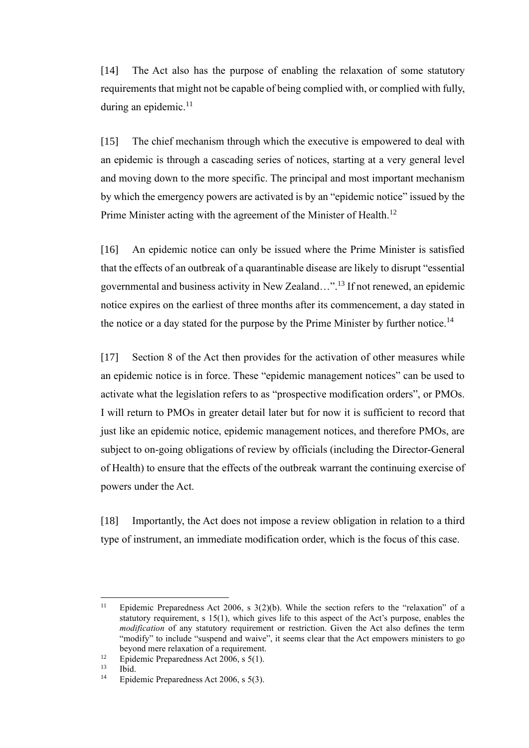[14] The Act also has the purpose of enabling the relaxation of some statutory requirements that might not be capable of being complied with, or complied with fully, during an epidemic.<sup>11</sup>

[15] The chief mechanism through which the executive is empowered to deal with an epidemic is through a cascading series of notices, starting at a very general level and moving down to the more specific. The principal and most important mechanism by which the emergency powers are activated is by an "epidemic notice" issued by the Prime Minister acting with the agreement of the Minister of Health.<sup>12</sup>

[16] An epidemic notice can only be issued where the Prime Minister is satisfied that the effects of an outbreak of a quarantinable disease are likely to disrupt "essential governmental and business activity in New Zealand…".<sup>13</sup> If not renewed, an epidemic notice expires on the earliest of three months after its commencement, a day stated in the notice or a day stated for the purpose by the Prime Minister by further notice.<sup>14</sup>

[17] Section 8 of the Act then provides for the activation of other measures while an epidemic notice is in force. These "epidemic management notices" can be used to activate what the legislation refers to as "prospective modification orders", or PMOs. I will return to PMOs in greater detail later but for now it is sufficient to record that just like an epidemic notice, epidemic management notices, and therefore PMOs, are subject to on-going obligations of review by officials (including the Director-General of Health) to ensure that the effects of the outbreak warrant the continuing exercise of powers under the Act.

[18] Importantly, the Act does not impose a review obligation in relation to a third type of instrument, an immediate modification order, which is the focus of this case.

<sup>&</sup>lt;sup>11</sup> Epidemic Preparedness Act 2006, s  $3(2)(b)$ . While the section refers to the "relaxation" of a statutory requirement, s 15(1), which gives life to this aspect of the Act's purpose, enables the *modification* of any statutory requirement or restriction. Given the Act also defines the term "modify" to include "suspend and waive", it seems clear that the Act empowers ministers to go beyond mere relaxation of a requirement.

<sup>&</sup>lt;sup>12</sup> Epidemic Preparedness Act 2006, s 5(1).<br><sup>13</sup> Ibid

 $13$  Ibid.<br> $14$  Enid

Epidemic Preparedness Act 2006, s 5(3).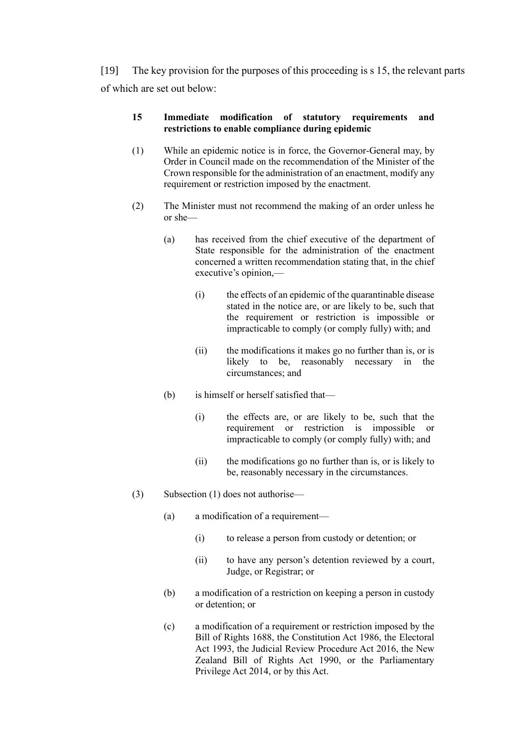[19] The key provision for the purposes of this proceeding is s 15, the relevant parts of which are set out below:

# **15 Immediate modification of statutory requirements and restrictions to enable compliance during epidemic**

- (1) While an epidemic notice is in force, the Governor-General may, by Order in Council made on the recommendation of the Minister of the Crown responsible for the administration of an enactment, modify any requirement or restriction imposed by the enactment.
- (2) The Minister must not recommend the making of an order unless he or she—
	- (a) has received from the chief executive of the department of State responsible for the administration of the enactment concerned a written recommendation stating that, in the chief executive's opinion,—
		- (i) the effects of an epidemic of the quarantinable disease stated in the notice are, or are likely to be, such that the requirement or restriction is impossible or impracticable to comply (or comply fully) with; and
		- (ii) the modifications it makes go no further than is, or is likely to be, reasonably necessary in the circumstances; and
	- (b) is himself or herself satisfied that—
		- (i) the effects are, or are likely to be, such that the requirement or restriction is impossible or impracticable to comply (or comply fully) with; and
		- (ii) the modifications go no further than is, or is likely to be, reasonably necessary in the circumstances.
- (3) Subsection (1) does not authorise—
	- (a) a modification of a requirement—
		- (i) to release a person from custody or detention; or
		- (ii) to have any person's detention reviewed by a court, Judge, or Registrar; or
	- (b) a modification of a restriction on keeping a person in custody or detention; or
	- (c) a modification of a requirement or restriction imposed by the Bill of Rights 1688, the Constitution Act 1986, the Electoral Act 1993, the Judicial Review Procedure Act 2016, the New Zealand Bill of Rights Act 1990, or the Parliamentary Privilege Act 2014, or by this Act.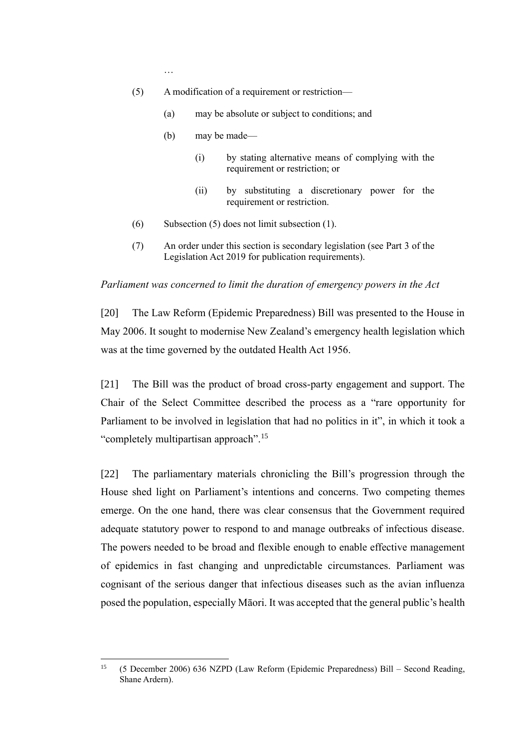…

- (5) A modification of a requirement or restriction—
	- (a) may be absolute or subject to conditions; and
	- (b) may be made—
		- (i) by stating alternative means of complying with the requirement or restriction; or
		- (ii) by substituting a discretionary power for the requirement or restriction.
- (6) Subsection (5) does not limit subsection (1).
- (7) An order under this section is secondary legislation (see Part 3 of the Legislation Act 2019 for publication requirements).

#### *Parliament was concerned to limit the duration of emergency powers in the Act*

<span id="page-7-0"></span>[20] The Law Reform (Epidemic Preparedness) Bill was presented to the House in May 2006. It sought to modernise New Zealand's emergency health legislation which was at the time governed by the outdated Health Act 1956.

[21] The Bill was the product of broad cross-party engagement and support. The Chair of the Select Committee described the process as a "rare opportunity for Parliament to be involved in legislation that had no politics in it", in which it took a "completely multipartisan approach".<sup>15</sup>

[22] The parliamentary materials chronicling the Bill's progression through the House shed light on Parliament's intentions and concerns. Two competing themes emerge. On the one hand, there was clear consensus that the Government required adequate statutory power to respond to and manage outbreaks of infectious disease. The powers needed to be broad and flexible enough to enable effective management of epidemics in fast changing and unpredictable circumstances. Parliament was cognisant of the serious danger that infectious diseases such as the avian influenza posed the population, especially Māori. It was accepted that the general public's health

<sup>15</sup> (5 December 2006) 636 NZPD (Law Reform (Epidemic Preparedness) Bill – Second Reading, Shane Ardern).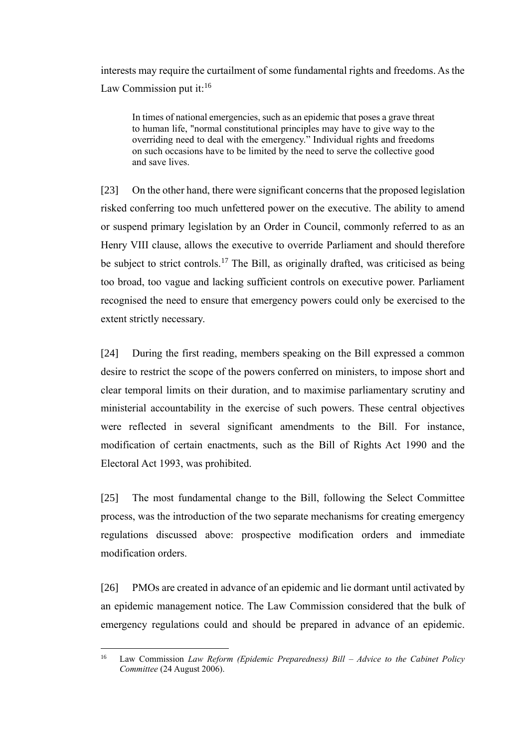interests may require the curtailment of some fundamental rights and freedoms. As the Law Commission put it: $16$ 

In times of national emergencies, such as an epidemic that poses a grave threat to human life, "normal constitutional principles may have to give way to the overriding need to deal with the emergency." Individual rights and freedoms on such occasions have to be limited by the need to serve the collective good and save lives.

[23] On the other hand, there were significant concerns that the proposed legislation risked conferring too much unfettered power on the executive. The ability to amend or suspend primary legislation by an Order in Council, commonly referred to as an Henry VIII clause, allows the executive to override Parliament and should therefore be subject to strict controls.<sup>17</sup> The Bill, as originally drafted, was criticised as being too broad, too vague and lacking sufficient controls on executive power. Parliament recognised the need to ensure that emergency powers could only be exercised to the extent strictly necessary.

[24] During the first reading, members speaking on the Bill expressed a common desire to restrict the scope of the powers conferred on ministers, to impose short and clear temporal limits on their duration, and to maximise parliamentary scrutiny and ministerial accountability in the exercise of such powers. These central objectives were reflected in several significant amendments to the Bill. For instance, modification of certain enactments, such as the Bill of Rights Act 1990 and the Electoral Act 1993, was prohibited.

[25] The most fundamental change to the Bill, following the Select Committee process, was the introduction of the two separate mechanisms for creating emergency regulations discussed above: prospective modification orders and immediate modification orders.

[26] PMOs are created in advance of an epidemic and lie dormant until activated by an epidemic management notice. The Law Commission considered that the bulk of emergency regulations could and should be prepared in advance of an epidemic.

<sup>16</sup> Law Commission *Law Reform (Epidemic Preparedness) Bill – Advice to the Cabinet Policy Committee* (24 August 2006).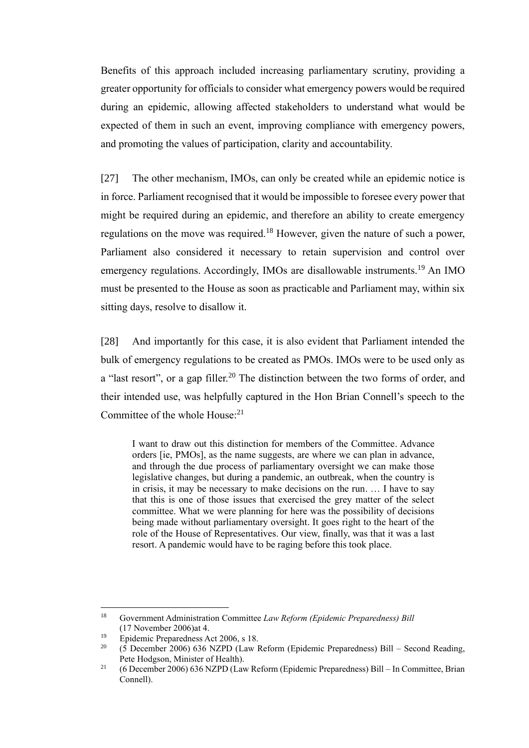Benefits of this approach included increasing parliamentary scrutiny, providing a greater opportunity for officials to consider what emergency powers would be required during an epidemic, allowing affected stakeholders to understand what would be expected of them in such an event, improving compliance with emergency powers, and promoting the values of participation, clarity and accountability.

<span id="page-9-0"></span>[27] The other mechanism, IMOs, can only be created while an epidemic notice is in force. Parliament recognised that it would be impossible to foresee every power that might be required during an epidemic, and therefore an ability to create emergency regulations on the move was required.<sup>18</sup> However, given the nature of such a power, Parliament also considered it necessary to retain supervision and control over emergency regulations. Accordingly, IMOs are disallowable instruments.<sup>19</sup> An IMO must be presented to the House as soon as practicable and Parliament may, within six sitting days, resolve to disallow it.

[28] And importantly for this case, it is also evident that Parliament intended the bulk of emergency regulations to be created as PMOs. IMOs were to be used only as a "last resort", or a gap filler.<sup>20</sup> The distinction between the two forms of order, and their intended use, was helpfully captured in the Hon Brian Connell's speech to the Committee of the whole House:<sup>21</sup>

<span id="page-9-1"></span>I want to draw out this distinction for members of the Committee. Advance orders [ie, PMOs], as the name suggests, are where we can plan in advance, and through the due process of parliamentary oversight we can make those legislative changes, but during a pandemic, an outbreak, when the country is in crisis, it may be necessary to make decisions on the run. … I have to say that this is one of those issues that exercised the grey matter of the select committee. What we were planning for here was the possibility of decisions being made without parliamentary oversight. It goes right to the heart of the role of the House of Representatives. Our view, finally, was that it was a last resort. A pandemic would have to be raging before this took place.

<sup>18</sup> Government Administration Committee *Law Reform (Epidemic Preparedness) Bill* (17 November 2006)at 4.

<sup>19</sup> Epidemic Preparedness Act 2006, s 18.

<sup>&</sup>lt;sup>20</sup> (5 December 2006) 636 NZPD (Law Reform (Epidemic Preparedness) Bill – Second Reading, Pete Hodgson, Minister of Health).

<sup>&</sup>lt;sup>21</sup> (6 December 2006) 636 NZPD (Law Reform (Epidemic Preparedness) Bill – In Committee, Brian Connell).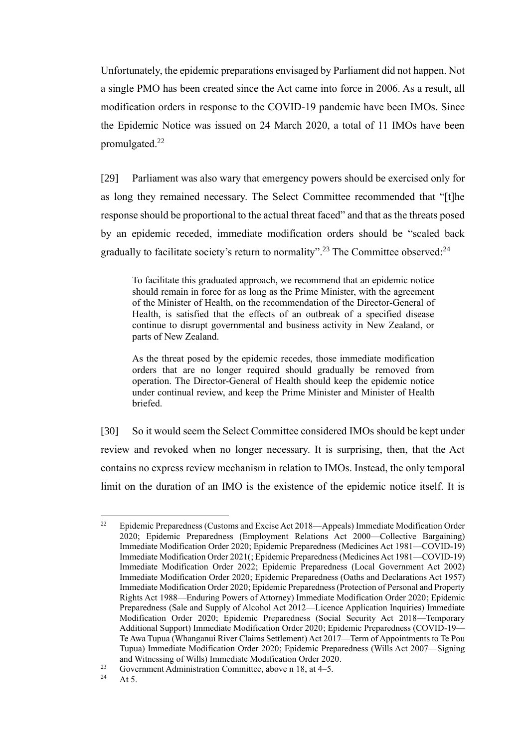Unfortunately, the epidemic preparations envisaged by Parliament did not happen. Not a single PMO has been created since the Act came into force in 2006. As a result, all modification orders in response to the COVID-19 pandemic have been IMOs. Since the Epidemic Notice was issued on 24 March 2020, a total of 11 IMOs have been promulgated. $^{22}$ 

[29] Parliament was also wary that emergency powers should be exercised only for as long they remained necessary. The Select Committee recommended that "[t]he response should be proportional to the actual threat faced" and that as the threats posed by an epidemic receded, immediate modification orders should be "scaled back gradually to facilitate society's return to normality".<sup>23</sup> The Committee observed:<sup>24</sup>

To facilitate this graduated approach, we recommend that an epidemic notice should remain in force for as long as the Prime Minister, with the agreement of the Minister of Health, on the recommendation of the Director-General of Health, is satisfied that the effects of an outbreak of a specified disease continue to disrupt governmental and business activity in New Zealand, or parts of New Zealand.

As the threat posed by the epidemic recedes, those immediate modification orders that are no longer required should gradually be removed from operation. The Director-General of Health should keep the epidemic notice under continual review, and keep the Prime Minister and Minister of Health briefed.

[30] So it would seem the Select Committee considered IMOs should be kept under review and revoked when no longer necessary. It is surprising, then, that the Act contains no express review mechanism in relation to IMOs. Instead, the only temporal limit on the duration of an IMO is the existence of the epidemic notice itself. It is

<sup>&</sup>lt;sup>22</sup> Epidemic Preparedness (Customs and Excise Act 2018—Appeals) Immediate Modification Order 2020; Epidemic Preparedness (Employment Relations Act 2000—Collective Bargaining) Immediate Modification Order 2020; Epidemic Preparedness (Medicines Act 1981—COVID-19) Immediate Modification Order 2021(; Epidemic Preparedness (Medicines Act 1981—COVID-19) Immediate Modification Order 2022; Epidemic Preparedness (Local Government Act 2002) Immediate Modification Order 2020; Epidemic Preparedness (Oaths and Declarations Act 1957) Immediate Modification Order 2020; Epidemic Preparedness (Protection of Personal and Property Rights Act 1988—Enduring Powers of Attorney) Immediate Modification Order 2020; Epidemic Preparedness (Sale and Supply of Alcohol Act 2012—Licence Application Inquiries) Immediate Modification Order 2020; Epidemic Preparedness (Social Security Act 2018—Temporary Additional Support) Immediate Modification Order 2020; Epidemic Preparedness (COVID-19— Te Awa Tupua (Whanganui River Claims Settlement) Act 2017—Term of Appointments to Te Pou Tupua) Immediate Modification Order 2020; Epidemic Preparedness (Wills Act 2007—Signing and Witnessing of Wills) Immediate Modification Order 2020.

<sup>&</sup>lt;sup>23</sup> Government Administration Committee, above n [18,](#page-9-0) at 4–5.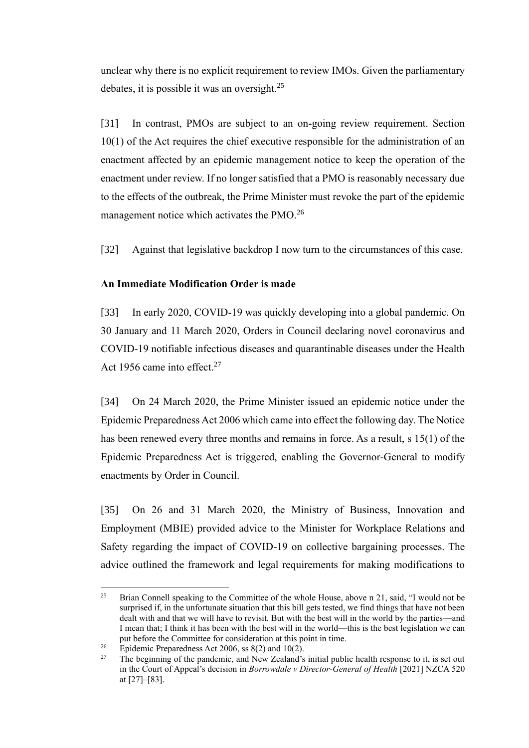unclear why there is no explicit requirement to review IMOs. Given the parliamentary debates, it is possible it was an oversight.<sup>25</sup>

<span id="page-11-1"></span>[31] In contrast, PMOs are subject to an on-going review requirement. Section 10(1) of the Act requires the chief executive responsible for the administration of an enactment affected by an epidemic management notice to keep the operation of the enactment under review. If no longer satisfied that a PMO is reasonably necessary due to the effects of the outbreak, the Prime Minister must revoke the part of the epidemic management notice which activates the PMO.<sup>26</sup>

[32] Against that legislative backdrop I now turn to the circumstances of this case.

# **An Immediate Modification Order is made**

<span id="page-11-0"></span>[33] In early 2020, COVID-19 was quickly developing into a global pandemic. On 30 January and 11 March 2020, Orders in Council declaring novel coronavirus and COVID-19 notifiable infectious diseases and quarantinable diseases under the Health Act 1956 came into effect.<sup>27</sup>

<span id="page-11-2"></span>[34] On 24 March 2020, the Prime Minister issued an epidemic notice under the Epidemic Preparedness Act 2006 which came into effect the following day. The Notice has been renewed every three months and remains in force. As a result, s 15(1) of the Epidemic Preparedness Act is triggered, enabling the Governor-General to modify enactments by Order in Council.

[35] On 26 and 31 March 2020, the Ministry of Business, Innovation and Employment (MBIE) provided advice to the Minister for Workplace Relations and Safety regarding the impact of COVID-19 on collective bargaining processes. The advice outlined the framework and legal requirements for making modifications to

<sup>&</sup>lt;sup>25</sup> Brian Connell speaking to the Committee of the whole House, above n [21,](#page-9-1) said, "I would not be surprised if, in the unfortunate situation that this bill gets tested, we find things that have not been dealt with and that we will have to revisit. But with the best will in the world by the parties—and I mean that; I think it has been with the best will in the world—this is the best legislation we can put before the Committee for consideration at this point in time.

<sup>&</sup>lt;sup>26</sup> Epidemic Preparedness Act 2006, ss 8(2) and 10(2).<br><sup>27</sup> The beginning of the pandemic, and New Zealand's

The beginning of the pandemic, and New Zealand's initial public health response to it, is set out in the Court of Appeal's decision in *Borrowdale v Director-General of Health* [2021] NZCA 520 at [27]–[83].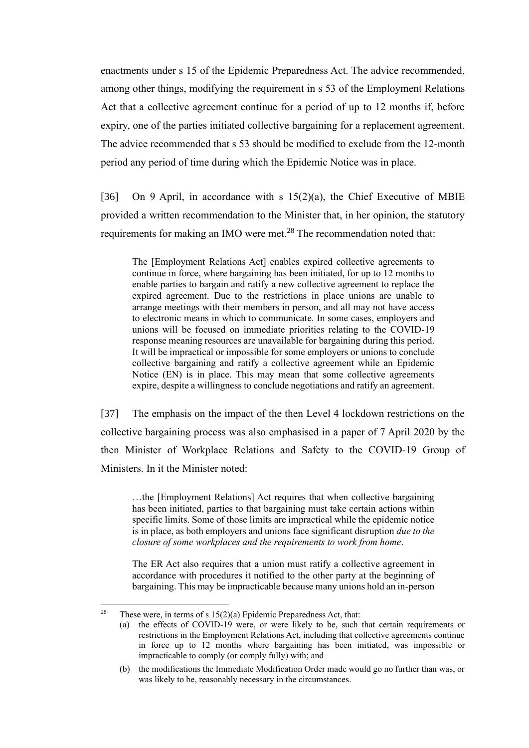enactments under s 15 of the Epidemic Preparedness Act. The advice recommended, among other things, modifying the requirement in s 53 of the Employment Relations Act that a collective agreement continue for a period of up to 12 months if, before expiry, one of the parties initiated collective bargaining for a replacement agreement. The advice recommended that s 53 should be modified to exclude from the 12-month period any period of time during which the Epidemic Notice was in place.

[36] On 9 April, in accordance with s  $15(2)(a)$ , the Chief Executive of MBIE provided a written recommendation to the Minister that, in her opinion, the statutory requirements for making an IMO were met.<sup>28</sup> The recommendation noted that:

The [Employment Relations Act] enables expired collective agreements to continue in force, where bargaining has been initiated, for up to 12 months to enable parties to bargain and ratify a new collective agreement to replace the expired agreement. Due to the restrictions in place unions are unable to arrange meetings with their members in person, and all may not have access to electronic means in which to communicate. In some cases, employers and unions will be focused on immediate priorities relating to the COVID-19 response meaning resources are unavailable for bargaining during this period. It will be impractical or impossible for some employers or unions to conclude collective bargaining and ratify a collective agreement while an Epidemic Notice (EN) is in place. This may mean that some collective agreements expire, despite a willingness to conclude negotiations and ratify an agreement.

[37] The emphasis on the impact of the then Level 4 lockdown restrictions on the collective bargaining process was also emphasised in a paper of 7 April 2020 by the then Minister of Workplace Relations and Safety to the COVID-19 Group of Ministers. In it the Minister noted:

…the [Employment Relations] Act requires that when collective bargaining has been initiated, parties to that bargaining must take certain actions within specific limits. Some of those limits are impractical while the epidemic notice is in place, as both employers and unions face significant disruption *due to the closure of some workplaces and the requirements to work from home*.

The ER Act also requires that a union must ratify a collective agreement in accordance with procedures it notified to the other party at the beginning of bargaining. This may be impracticable because many unions hold an in-person

<sup>&</sup>lt;sup>28</sup> These were, in terms of s  $15(2)(a)$  Epidemic Preparedness Act, that:

<sup>(</sup>a) the effects of COVID-19 were, or were likely to be, such that certain requirements or restrictions in the Employment Relations Act, including that collective agreements continue in force up to 12 months where bargaining has been initiated, was impossible or impracticable to comply (or comply fully) with; and

<sup>(</sup>b) the modifications the Immediate Modification Order made would go no further than was, or was likely to be, reasonably necessary in the circumstances.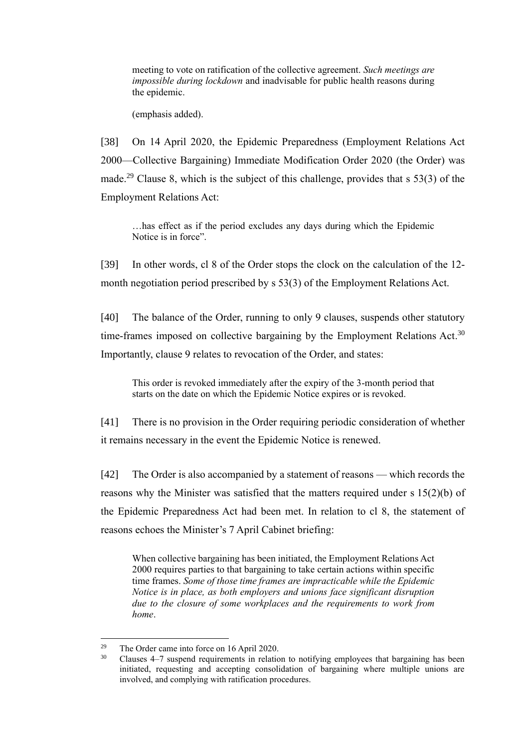meeting to vote on ratification of the collective agreement. *Such meetings are impossible during lockdown* and inadvisable for public health reasons during the epidemic.

(emphasis added).

[38] On 14 April 2020, the Epidemic Preparedness (Employment Relations Act 2000—Collective Bargaining) Immediate Modification Order 2020 (the Order) was made.<sup>29</sup> Clause 8, which is the subject of this challenge, provides that  $s$  53(3) of the Employment Relations Act:

…has effect as if the period excludes any days during which the Epidemic Notice is in force".

[39] In other words, cl 8 of the Order stops the clock on the calculation of the 12 month negotiation period prescribed by s 53(3) of the Employment Relations Act.

[40] The balance of the Order, running to only 9 clauses, suspends other statutory time-frames imposed on collective bargaining by the Employment Relations Act.<sup>30</sup> Importantly, clause 9 relates to revocation of the Order, and states:

This order is revoked immediately after the expiry of the 3-month period that starts on the date on which the Epidemic Notice expires or is revoked.

[41] There is no provision in the Order requiring periodic consideration of whether it remains necessary in the event the Epidemic Notice is renewed.

[42] The Order is also accompanied by a statement of reasons — which records the reasons why the Minister was satisfied that the matters required under s 15(2)(b) of the Epidemic Preparedness Act had been met. In relation to cl 8, the statement of reasons echoes the Minister's 7 April Cabinet briefing:

When collective bargaining has been initiated, the Employment Relations Act 2000 requires parties to that bargaining to take certain actions within specific time frames. *Some of those time frames are impracticable while the Epidemic Notice is in place, as both employers and unions face significant disruption due to the closure of some workplaces and the requirements to work from home*.

<sup>&</sup>lt;sup>29</sup> The Order came into force on 16 April 2020.

<sup>&</sup>lt;sup>30</sup> Clauses 4–7 suspend requirements in relation to notifying employees that bargaining has been initiated, requesting and accepting consolidation of bargaining where multiple unions are involved, and complying with ratification procedures.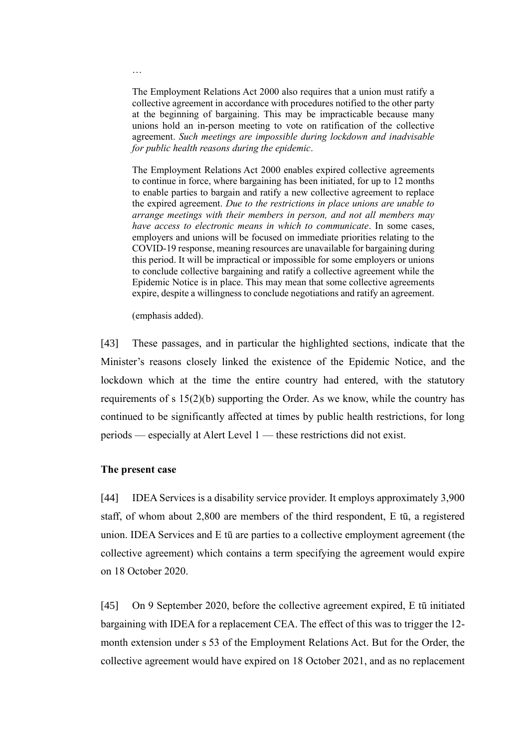The Employment Relations Act 2000 also requires that a union must ratify a collective agreement in accordance with procedures notified to the other party at the beginning of bargaining. This may be impracticable because many unions hold an in-person meeting to vote on ratification of the collective agreement. *Such meetings are impossible during lockdown and inadvisable for public health reasons during the epidemic*.

The Employment Relations Act 2000 enables expired collective agreements to continue in force, where bargaining has been initiated, for up to 12 months to enable parties to bargain and ratify a new collective agreement to replace the expired agreement. *Due to the restrictions in place unions are unable to arrange meetings with their members in person, and not all members may have access to electronic means in which to communicate*. In some cases, employers and unions will be focused on immediate priorities relating to the COVID-19 response, meaning resources are unavailable for bargaining during this period. It will be impractical or impossible for some employers or unions to conclude collective bargaining and ratify a collective agreement while the Epidemic Notice is in place. This may mean that some collective agreements expire, despite a willingness to conclude negotiations and ratify an agreement.

(emphasis added).

[43] These passages, and in particular the highlighted sections, indicate that the Minister's reasons closely linked the existence of the Epidemic Notice, and the lockdown which at the time the entire country had entered, with the statutory requirements of s 15(2)(b) supporting the Order. As we know, while the country has continued to be significantly affected at times by public health restrictions, for long periods — especially at Alert Level 1 — these restrictions did not exist.

### **The present case**

<span id="page-14-0"></span>[44] IDEA Services is a disability service provider. It employs approximately 3,900 staff, of whom about 2,800 are members of the third respondent, E tū, a registered union. IDEA Services and E tū are parties to a collective employment agreement (the collective agreement) which contains a term specifying the agreement would expire on 18 October 2020.

[45] On 9 September 2020, before the collective agreement expired, E tū initiated bargaining with IDEA for a replacement CEA. The effect of this was to trigger the 12 month extension under s 53 of the Employment Relations Act. But for the Order, the collective agreement would have expired on 18 October 2021, and as no replacement

…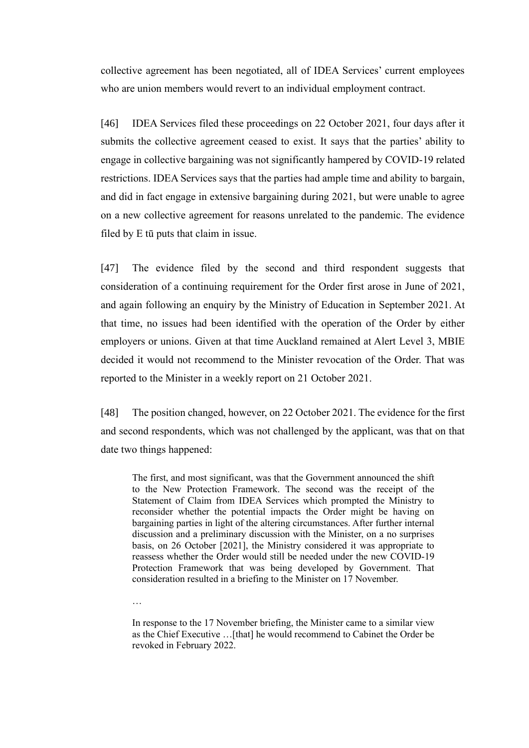collective agreement has been negotiated, all of IDEA Services' current employees who are union members would revert to an individual employment contract.

[46] IDEA Services filed these proceedings on 22 October 2021, four days after it submits the collective agreement ceased to exist. It says that the parties' ability to engage in collective bargaining was not significantly hampered by COVID-19 related restrictions. IDEA Services says that the parties had ample time and ability to bargain, and did in fact engage in extensive bargaining during 2021, but were unable to agree on a new collective agreement for reasons unrelated to the pandemic. The evidence filed by E tū puts that claim in issue.

[47] The evidence filed by the second and third respondent suggests that consideration of a continuing requirement for the Order first arose in June of 2021, and again following an enquiry by the Ministry of Education in September 2021. At that time, no issues had been identified with the operation of the Order by either employers or unions. Given at that time Auckland remained at Alert Level 3, MBIE decided it would not recommend to the Minister revocation of the Order. That was reported to the Minister in a weekly report on 21 October 2021.

[48] The position changed, however, on 22 October 2021. The evidence for the first and second respondents, which was not challenged by the applicant, was that on that date two things happened:

The first, and most significant, was that the Government announced the shift to the New Protection Framework. The second was the receipt of the Statement of Claim from IDEA Services which prompted the Ministry to reconsider whether the potential impacts the Order might be having on bargaining parties in light of the altering circumstances. After further internal discussion and a preliminary discussion with the Minister, on a no surprises basis, on 26 October [2021], the Ministry considered it was appropriate to reassess whether the Order would still be needed under the new COVID-19 Protection Framework that was being developed by Government. That consideration resulted in a briefing to the Minister on 17 November.

…

In response to the 17 November briefing, the Minister came to a similar view as the Chief Executive …[that] he would recommend to Cabinet the Order be revoked in February 2022.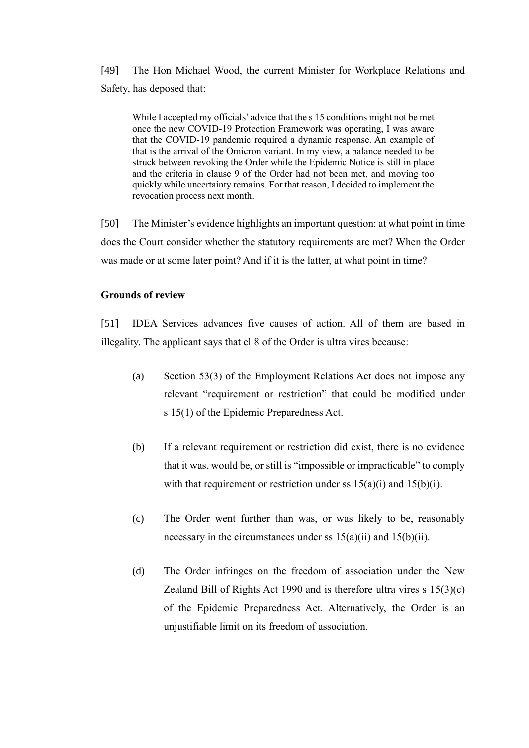[49] The Hon Michael Wood, the current Minister for Workplace Relations and Safety, has deposed that:

While I accepted my officials' advice that the s 15 conditions might not be met once the new COVID-19 Protection Framework was operating, I was aware that the COVID-19 pandemic required a dynamic response. An example of that is the arrival of the Omicron variant. In my view, a balance needed to be struck between revoking the Order while the Epidemic Notice is still in place and the criteria in clause 9 of the Order had not been met, and moving too quickly while uncertainty remains. For that reason, I decided to implement the revocation process next month.

[50] The Minister's evidence highlights an important question: at what point in time does the Court consider whether the statutory requirements are met? When the Order was made or at some later point? And if it is the latter, at what point in time?

# **Grounds of review**

<span id="page-16-0"></span>[51] IDEA Services advances five causes of action. All of them are based in illegality. The applicant says that cl 8 of the Order is ultra vires because:

- (a) Section 53(3) of the Employment Relations Act does not impose any relevant "requirement or restriction" that could be modified under s 15(1) of the Epidemic Preparedness Act.
- (b) If a relevant requirement or restriction did exist, there is no evidence that it was, would be, or still is "impossible or impracticable" to comply with that requirement or restriction under ss  $15(a)(i)$  and  $15(b)(i)$ .
- (c) The Order went further than was, or was likely to be, reasonably necessary in the circumstances under ss  $15(a)(ii)$  and  $15(b)(ii)$ .
- (d) The Order infringes on the freedom of association under the New Zealand Bill of Rights Act 1990 and is therefore ultra vires s  $15(3)(c)$ of the Epidemic Preparedness Act. Alternatively, the Order is an unjustifiable limit on its freedom of association.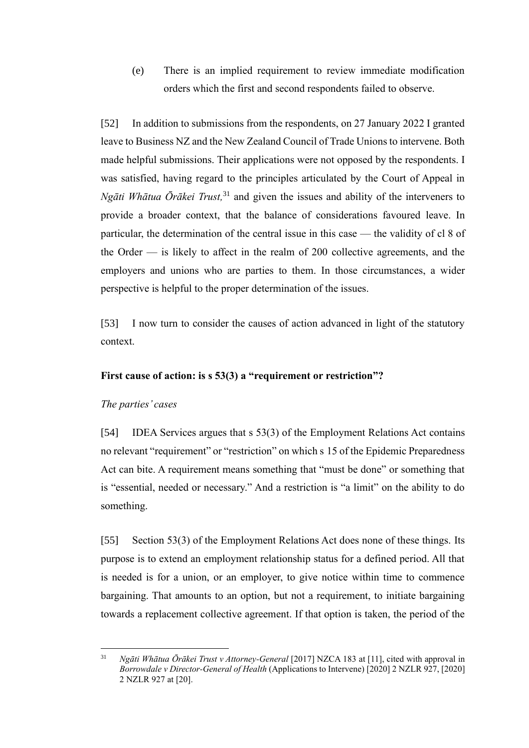(e) There is an implied requirement to review immediate modification orders which the first and second respondents failed to observe.

[52] In addition to submissions from the respondents, on 27 January 2022 I granted leave to Business NZ and the New Zealand Council of Trade Unions to intervene. Both made helpful submissions. Their applications were not opposed by the respondents. I was satisfied, having regard to the principles articulated by the Court of Appeal in *Ngāti Whātua Ōrākei Trust,* <sup>31</sup> and given the issues and ability of the interveners to provide a broader context, that the balance of considerations favoured leave. In particular, the determination of the central issue in this case — the validity of cl 8 of the Order — is likely to affect in the realm of 200 collective agreements, and the employers and unions who are parties to them. In those circumstances, a wider perspective is helpful to the proper determination of the issues.

[53] I now turn to consider the causes of action advanced in light of the statutory context.

# **First cause of action: is s 53(3) a "requirement or restriction"?**

# *The parties' cases*

<span id="page-17-0"></span>[54] IDEA Services argues that s 53(3) of the Employment Relations Act contains no relevant "requirement" or "restriction" on which s 15 of the Epidemic Preparedness Act can bite. A requirement means something that "must be done" or something that is "essential, needed or necessary." And a restriction is "a limit" on the ability to do something.

[55] Section 53(3) of the Employment Relations Act does none of these things. Its purpose is to extend an employment relationship status for a defined period. All that is needed is for a union, or an employer, to give notice within time to commence bargaining. That amounts to an option, but not a requirement, to initiate bargaining towards a replacement collective agreement. If that option is taken, the period of the

<sup>31</sup> *Ngāti Whātua Ōrākei Trust v Attorney-General* [2017] NZCA 183 at [11], cited with approval in *Borrowdale v Director-General of Health* (Applications to Intervene) [2020] 2 NZLR 927, [2020] 2 NZLR 927 at [20].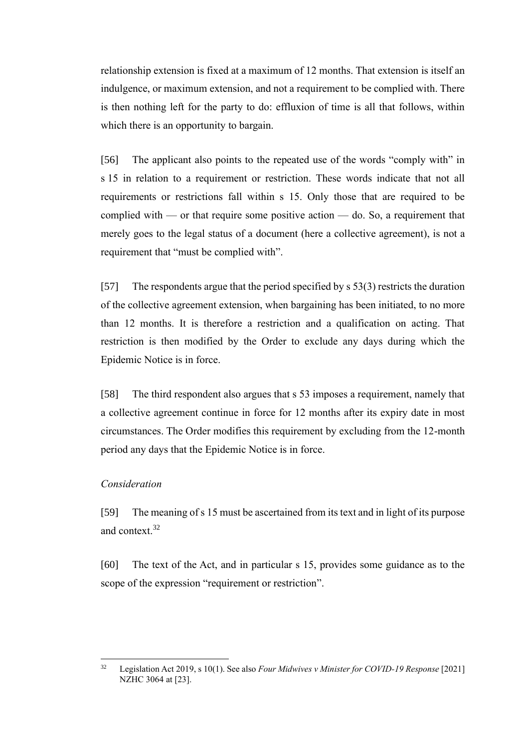relationship extension is fixed at a maximum of 12 months. That extension is itself an indulgence, or maximum extension, and not a requirement to be complied with. There is then nothing left for the party to do: effluxion of time is all that follows, within which there is an opportunity to bargain.

[56] The applicant also points to the repeated use of the words "comply with" in s 15 in relation to a requirement or restriction. These words indicate that not all requirements or restrictions fall within s 15. Only those that are required to be complied with — or that require some positive action — do. So, a requirement that merely goes to the legal status of a document (here a collective agreement), is not a requirement that "must be complied with".

[57] The respondents argue that the period specified by s 53(3) restricts the duration of the collective agreement extension, when bargaining has been initiated, to no more than 12 months. It is therefore a restriction and a qualification on acting. That restriction is then modified by the Order to exclude any days during which the Epidemic Notice is in force.

[58] The third respondent also argues that s 53 imposes a requirement, namely that a collective agreement continue in force for 12 months after its expiry date in most circumstances. The Order modifies this requirement by excluding from the 12-month period any days that the Epidemic Notice is in force.

# *Consideration*

<span id="page-18-0"></span>[59] The meaning of s 15 must be ascertained from its text and in light of its purpose and context.<sup>32</sup>

[60] The text of the Act, and in particular s 15, provides some guidance as to the scope of the expression "requirement or restriction".

<sup>32</sup> Legislation Act 2019, s 10(1). See also *Four Midwives v Minister for COVID-19 Response* [2021] NZHC 3064 at [23].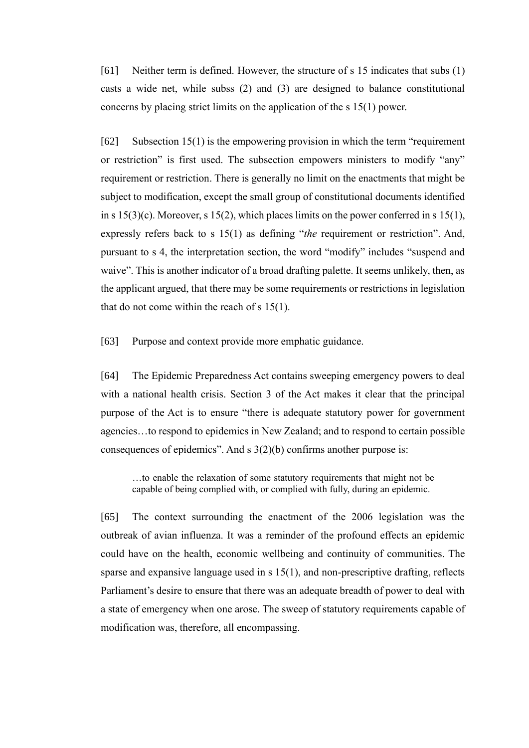[61] Neither term is defined. However, the structure of s 15 indicates that subs (1) casts a wide net, while subss (2) and (3) are designed to balance constitutional concerns by placing strict limits on the application of the s 15(1) power.

[62] Subsection 15(1) is the empowering provision in which the term "requirement or restriction" is first used. The subsection empowers ministers to modify "any" requirement or restriction. There is generally no limit on the enactments that might be subject to modification, except the small group of constitutional documents identified in s  $15(3)(c)$ . Moreover, s  $15(2)$ , which places limits on the power conferred in s  $15(1)$ , expressly refers back to s 15(1) as defining "*the* requirement or restriction". And, pursuant to s 4, the interpretation section, the word "modify" includes "suspend and waive". This is another indicator of a broad drafting palette. It seems unlikely, then, as the applicant argued, that there may be some requirements or restrictions in legislation that do not come within the reach of s 15(1).

[63] Purpose and context provide more emphatic guidance.

[64] The Epidemic Preparedness Act contains sweeping emergency powers to deal with a national health crisis. Section 3 of the Act makes it clear that the principal purpose of the Act is to ensure "there is adequate statutory power for government agencies…to respond to epidemics in New Zealand; and to respond to certain possible consequences of epidemics". And s 3(2)(b) confirms another purpose is:

…to enable the relaxation of some statutory requirements that might not be capable of being complied with, or complied with fully, during an epidemic.

[65] The context surrounding the enactment of the 2006 legislation was the outbreak of avian influenza. It was a reminder of the profound effects an epidemic could have on the health, economic wellbeing and continuity of communities. The sparse and expansive language used in s 15(1), and non-prescriptive drafting, reflects Parliament's desire to ensure that there was an adequate breadth of power to deal with a state of emergency when one arose. The sweep of statutory requirements capable of modification was, therefore, all encompassing.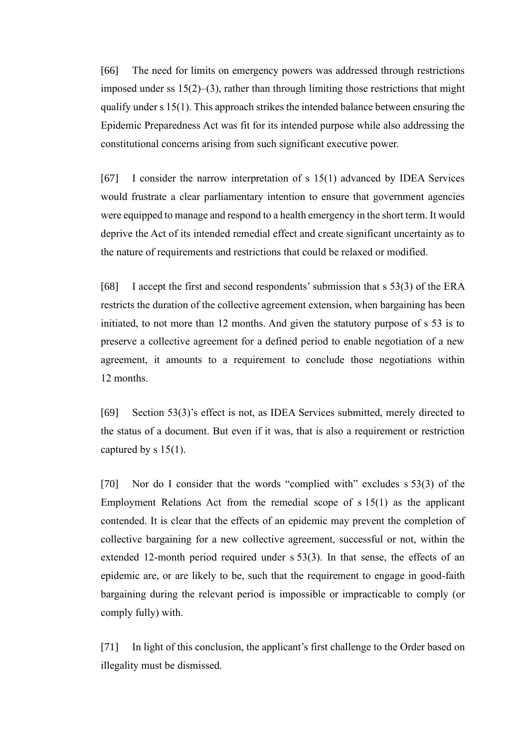[66] The need for limits on emergency powers was addressed through restrictions imposed under ss 15(2)–(3), rather than through limiting those restrictions that might qualify under s 15(1). This approach strikes the intended balance between ensuring the Epidemic Preparedness Act was fit for its intended purpose while also addressing the constitutional concerns arising from such significant executive power.

[67] I consider the narrow interpretation of s 15(1) advanced by IDEA Services would frustrate a clear parliamentary intention to ensure that government agencies were equipped to manage and respond to a health emergency in the short term. It would deprive the Act of its intended remedial effect and create significant uncertainty as to the nature of requirements and restrictions that could be relaxed or modified.

[68] I accept the first and second respondents' submission that s 53(3) of the ERA restricts the duration of the collective agreement extension, when bargaining has been initiated, to not more than 12 months. And given the statutory purpose of s 53 is to preserve a collective agreement for a defined period to enable negotiation of a new agreement, it amounts to a requirement to conclude those negotiations within 12 months.

[69] Section 53(3)'s effect is not, as IDEA Services submitted, merely directed to the status of a document. But even if it was, that is also a requirement or restriction captured by s 15(1).

[70] Nor do I consider that the words "complied with" excludes s 53(3) of the Employment Relations Act from the remedial scope of s 15(1) as the applicant contended. It is clear that the effects of an epidemic may prevent the completion of collective bargaining for a new collective agreement, successful or not, within the extended 12-month period required under s 53(3). In that sense, the effects of an epidemic are, or are likely to be, such that the requirement to engage in good-faith bargaining during the relevant period is impossible or impracticable to comply (or comply fully) with.

[71] In light of this conclusion, the applicant's first challenge to the Order based on illegality must be dismissed.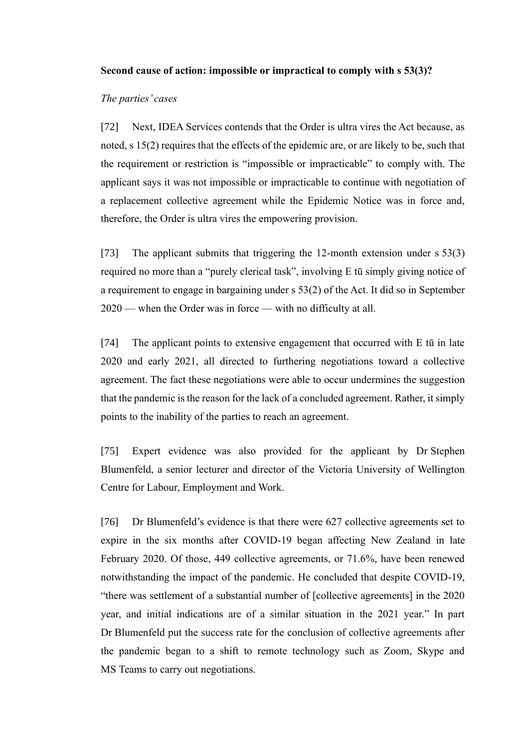### **Second cause of action: impossible or impractical to comply with s 53(3)?**

### *The parties' cases*

<span id="page-21-0"></span>[72] Next, IDEA Services contends that the Order is ultra vires the Act because, as noted, s 15(2) requires that the effects of the epidemic are, or are likely to be, such that the requirement or restriction is "impossible or impracticable" to comply with. The applicant says it was not impossible or impracticable to continue with negotiation of a replacement collective agreement while the Epidemic Notice was in force and, therefore, the Order is ultra vires the empowering provision.

[73] The applicant submits that triggering the 12-month extension under s 53(3) required no more than a "purely clerical task", involving E tū simply giving notice of a requirement to engage in bargaining under s 53(2) of the Act. It did so in September 2020 — when the Order was in force — with no difficulty at all.

[74] The applicant points to extensive engagement that occurred with E tū in late 2020 and early 2021, all directed to furthering negotiations toward a collective agreement. The fact these negotiations were able to occur undermines the suggestion that the pandemic is the reason for the lack of a concluded agreement. Rather, it simply points to the inability of the parties to reach an agreement.

[75] Expert evidence was also provided for the applicant by Dr Stephen Blumenfeld, a senior lecturer and director of the Victoria University of Wellington Centre for Labour, Employment and Work.

<span id="page-21-1"></span>[76] Dr Blumenfeld's evidence is that there were 627 collective agreements set to expire in the six months after COVID-19 began affecting New Zealand in late February 2020. Of those, 449 collective agreements, or 71.6%, have been renewed notwithstanding the impact of the pandemic. He concluded that despite COVID-19, "there was settlement of a substantial number of [collective agreements] in the 2020 year, and initial indications are of a similar situation in the 2021 year." In part Dr Blumenfeld put the success rate for the conclusion of collective agreements after the pandemic began to a shift to remote technology such as Zoom, Skype and MS Teams to carry out negotiations.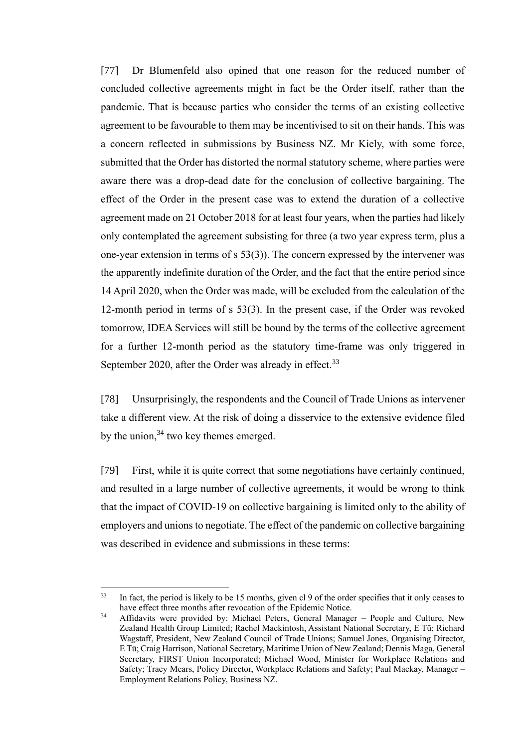[77] Dr Blumenfeld also opined that one reason for the reduced number of concluded collective agreements might in fact be the Order itself, rather than the pandemic. That is because parties who consider the terms of an existing collective agreement to be favourable to them may be incentivised to sit on their hands. This was a concern reflected in submissions by Business NZ. Mr Kiely, with some force, submitted that the Order has distorted the normal statutory scheme, where parties were aware there was a drop-dead date for the conclusion of collective bargaining. The effect of the Order in the present case was to extend the duration of a collective agreement made on 21 October 2018 for at least four years, when the parties had likely only contemplated the agreement subsisting for three (a two year express term, plus a one-year extension in terms of s 53(3)). The concern expressed by the intervener was the apparently indefinite duration of the Order, and the fact that the entire period since 14 April 2020, when the Order was made, will be excluded from the calculation of the 12-month period in terms of s 53(3). In the present case, if the Order was revoked tomorrow, IDEA Services will still be bound by the terms of the collective agreement for a further 12-month period as the statutory time-frame was only triggered in September 2020, after the Order was already in effect.<sup>33</sup>

[78] Unsurprisingly, the respondents and the Council of Trade Unions as intervener take a different view. At the risk of doing a disservice to the extensive evidence filed by the union,  $34$  two key themes emerged.

[79] First, while it is quite correct that some negotiations have certainly continued, and resulted in a large number of collective agreements, it would be wrong to think that the impact of COVID-19 on collective bargaining is limited only to the ability of employers and unions to negotiate. The effect of the pandemic on collective bargaining was described in evidence and submissions in these terms:

<sup>&</sup>lt;sup>33</sup> In fact, the period is likely to be 15 months, given cl 9 of the order specifies that it only ceases to have effect three months after revocation of the Epidemic Notice.

 $34$  Affidavits were provided by: Michael Peters, General Manager – People and Culture, New Zealand Health Group Limited; Rachel Mackintosh, Assistant National Secretary, E Tū; Richard Wagstaff, President, New Zealand Council of Trade Unions; Samuel Jones, Organising Director, E Tū; Craig Harrison, National Secretary, Maritime Union of New Zealand; Dennis Maga, General Secretary, FIRST Union Incorporated; Michael Wood, Minister for Workplace Relations and Safety; Tracy Mears, Policy Director, Workplace Relations and Safety; Paul Mackay, Manager – Employment Relations Policy, Business NZ.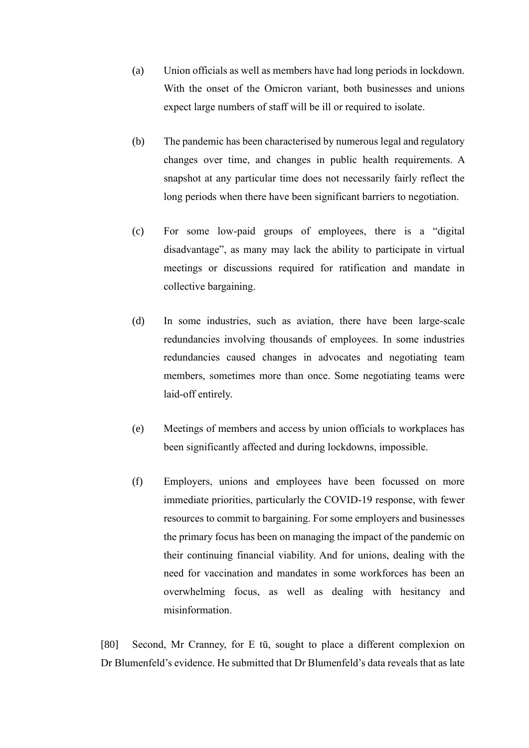- (a) Union officials as well as members have had long periods in lockdown. With the onset of the Omicron variant, both businesses and unions expect large numbers of staff will be ill or required to isolate.
- (b) The pandemic has been characterised by numerous legal and regulatory changes over time, and changes in public health requirements. A snapshot at any particular time does not necessarily fairly reflect the long periods when there have been significant barriers to negotiation.
- (c) For some low-paid groups of employees, there is a "digital disadvantage", as many may lack the ability to participate in virtual meetings or discussions required for ratification and mandate in collective bargaining.
- (d) In some industries, such as aviation, there have been large-scale redundancies involving thousands of employees. In some industries redundancies caused changes in advocates and negotiating team members, sometimes more than once. Some negotiating teams were laid-off entirely.
- (e) Meetings of members and access by union officials to workplaces has been significantly affected and during lockdowns, impossible.
- (f) Employers, unions and employees have been focussed on more immediate priorities, particularly the COVID-19 response, with fewer resources to commit to bargaining. For some employers and businesses the primary focus has been on managing the impact of the pandemic on their continuing financial viability. And for unions, dealing with the need for vaccination and mandates in some workforces has been an overwhelming focus, as well as dealing with hesitancy and misinformation.

<span id="page-23-0"></span>[80] Second, Mr Cranney, for E tū, sought to place a different complexion on Dr Blumenfeld's evidence. He submitted that Dr Blumenfeld's data reveals that as late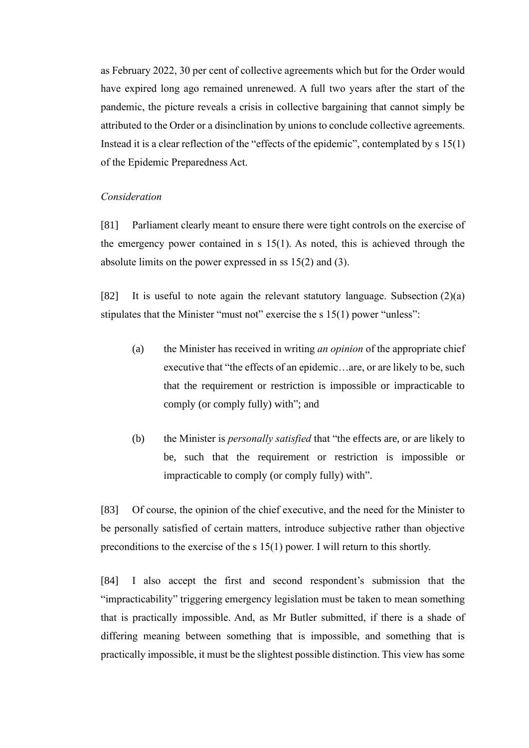as February 2022, 30 per cent of collective agreements which but for the Order would have expired long ago remained unrenewed. A full two years after the start of the pandemic, the picture reveals a crisis in collective bargaining that cannot simply be attributed to the Order or a disinclination by unions to conclude collective agreements. Instead it is a clear reflection of the "effects of the epidemic", contemplated by s 15(1) of the Epidemic Preparedness Act.

#### *Consideration*

<span id="page-24-0"></span>[81] Parliament clearly meant to ensure there were tight controls on the exercise of the emergency power contained in s 15(1). As noted, this is achieved through the absolute limits on the power expressed in ss 15(2) and (3).

[82] It is useful to note again the relevant statutory language. Subsection (2)(a) stipulates that the Minister "must not" exercise the s 15(1) power "unless":

- (a) the Minister has received in writing *an opinion* of the appropriate chief executive that "the effects of an epidemic…are, or are likely to be, such that the requirement or restriction is impossible or impracticable to comply (or comply fully) with"; and
- (b) the Minister is *personally satisfied* that "the effects are, or are likely to be, such that the requirement or restriction is impossible or impracticable to comply (or comply fully) with".

[83] Of course, the opinion of the chief executive, and the need for the Minister to be personally satisfied of certain matters, introduce subjective rather than objective preconditions to the exercise of the s 15(1) power. I will return to this shortly.

[84] I also accept the first and second respondent's submission that the "impracticability" triggering emergency legislation must be taken to mean something that is practically impossible. And, as Mr Butler submitted, if there is a shade of differing meaning between something that is impossible, and something that is practically impossible, it must be the slightest possible distinction. This view has some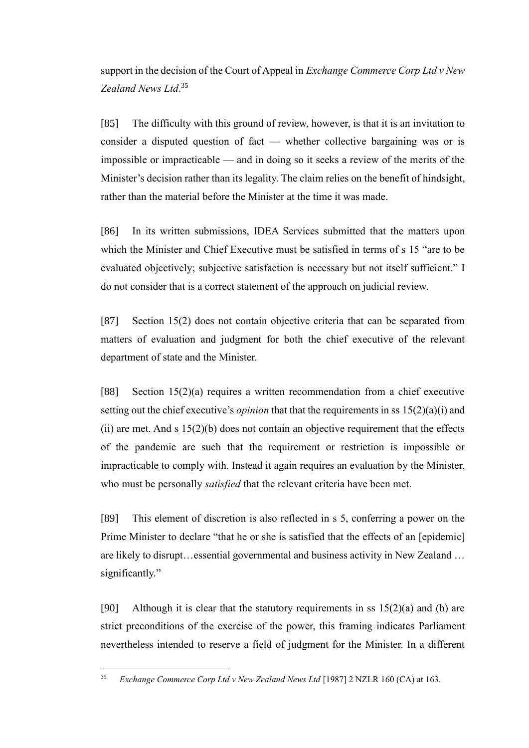support in the decision of the Court of Appeal in *Exchange Commerce Corp Ltd v New Zealand News Ltd*. 35

<span id="page-25-0"></span>[85] The difficulty with this ground of review, however, is that it is an invitation to consider a disputed question of fact — whether collective bargaining was or is impossible or impracticable — and in doing so it seeks a review of the merits of the Minister's decision rather than its legality. The claim relies on the benefit of hindsight, rather than the material before the Minister at the time it was made.

[86] In its written submissions, IDEA Services submitted that the matters upon which the Minister and Chief Executive must be satisfied in terms of s 15 "are to be evaluated objectively; subjective satisfaction is necessary but not itself sufficient." I do not consider that is a correct statement of the approach on judicial review.

[87] Section 15(2) does not contain objective criteria that can be separated from matters of evaluation and judgment for both the chief executive of the relevant department of state and the Minister.

[88] Section 15(2)(a) requires a written recommendation from a chief executive setting out the chief executive's *opinion* that that the requirements in ss 15(2)(a)(i) and (ii) are met. And s  $15(2)(b)$  does not contain an objective requirement that the effects of the pandemic are such that the requirement or restriction is impossible or impracticable to comply with. Instead it again requires an evaluation by the Minister, who must be personally *satisfied* that the relevant criteria have been met.

[89] This element of discretion is also reflected in s 5, conferring a power on the Prime Minister to declare "that he or she is satisfied that the effects of an [epidemic] are likely to disrupt…essential governmental and business activity in New Zealand … significantly."

[90] Although it is clear that the statutory requirements in ss  $15(2)(a)$  and (b) are strict preconditions of the exercise of the power, this framing indicates Parliament nevertheless intended to reserve a field of judgment for the Minister. In a different

<sup>35</sup> *Exchange Commerce Corp Ltd v New Zealand News Ltd* [1987] 2 NZLR 160 (CA) at 163.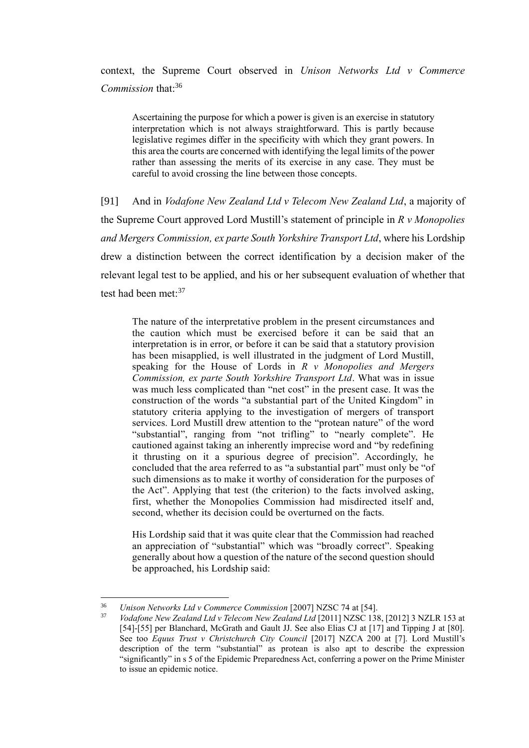context, the Supreme Court observed in *Unison Networks Ltd v Commerce Commission* that:<sup>36</sup>

Ascertaining the purpose for which a power is given is an exercise in statutory interpretation which is not always straightforward. This is partly because legislative regimes differ in the specificity with which they grant powers. In this area the courts are concerned with identifying the legal limits of the power rather than assessing the merits of its exercise in any case. They must be careful to avoid crossing the line between those concepts.

[91] And in *Vodafone New Zealand Ltd v Telecom New Zealand Ltd*, a majority of the Supreme Court approved Lord Mustill's statement of principle in *R v Monopolies and Mergers Commission, ex parte South Yorkshire Transport Ltd*, where his Lordship drew a distinction between the correct identification by a decision maker of the relevant legal test to be applied, and his or her subsequent evaluation of whether that test had been met: $37$ 

The nature of the interpretative problem in the present circumstances and the caution which must be exercised before it can be said that an interpretation is in error, or before it can be said that a statutory provision has been misapplied, is well illustrated in the judgment of Lord Mustill, speaking for the House of Lords in *R v Monopolies and Mergers Commission, ex parte South Yorkshire Transport Ltd*. What was in issue was much less complicated than "net cost" in the present case. It was the construction of the words "a substantial part of the United Kingdom" in statutory criteria applying to the investigation of mergers of transport services. Lord Mustill drew attention to the "protean nature" of the word "substantial", ranging from "not trifling" to "nearly complete". He cautioned against taking an inherently imprecise word and "by redefining it thrusting on it a spurious degree of precision". Accordingly, he concluded that the area referred to as "a substantial part" must only be "of such dimensions as to make it worthy of consideration for the purposes of the Act". Applying that test (the criterion) to the facts involved asking, first, whether the Monopolies Commission had misdirected itself and, second, whether its decision could be overturned on the facts.

His Lordship said that it was quite clear that the Commission had reached an appreciation of "substantial" which was "broadly correct". Speaking generally about how a question of the nature of the second question should be approached, his Lordship said:

<sup>36</sup> *Unison Networks Ltd v Commerce Commission* [2007] NZSC 74 at [54].

<sup>37</sup> *Vodafone New Zealand Ltd v Telecom New Zealand Ltd* [2011] NZSC 138, [2012] 3 NZLR 153 at [54]-[55] per Blanchard, McGrath and Gault JJ. See also Elias CJ at [17] and Tipping J at [80]. See too *Equus Trust v Christchurch City Council* [2017] NZCA 200 at [7]. Lord Mustill's description of the term "substantial" as protean is also apt to describe the expression "significantly" in s 5 of the Epidemic Preparedness Act, conferring a power on the Prime Minister to issue an epidemic notice.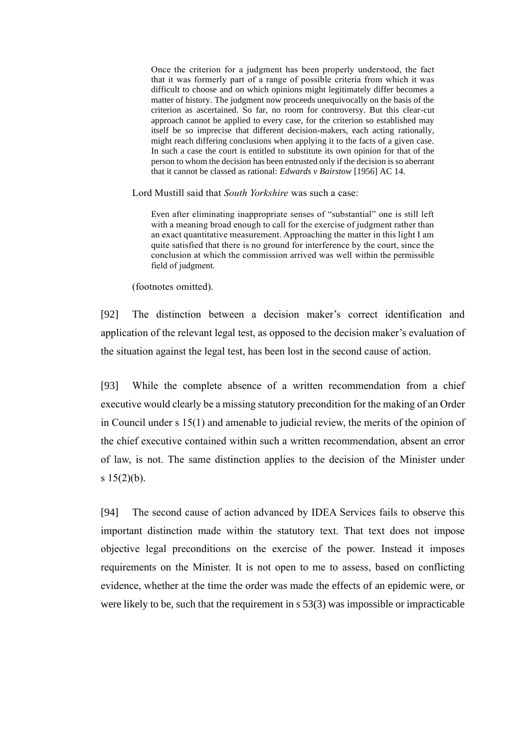Once the criterion for a judgment has been properly understood, the fact that it was formerly part of a range of possible criteria from which it was difficult to choose and on which opinions might legitimately differ becomes a matter of history. The judgment now proceeds unequivocally on the basis of the criterion as ascertained. So far, no room for controversy. But this clear-cut approach cannot be applied to every case, for the criterion so established may itself be so imprecise that different decision-makers, each acting rationally, might reach differing conclusions when applying it to the facts of a given case. In such a case the court is entitled to substitute its own opinion for that of the person to whom the decision has been entrusted only if the decision is so aberrant that it cannot be classed as rational: *Edwards v Bairstow* [1956] AC 14.

Lord Mustill said that *South Yorkshire* was such a case:

Even after eliminating inappropriate senses of "substantial" one is still left with a meaning broad enough to call for the exercise of judgment rather than an exact quantitative measurement. Approaching the matter in this light I am quite satisfied that there is no ground for interference by the court, since the conclusion at which the commission arrived was well within the permissible field of judgment.

(footnotes omitted).

[92] The distinction between a decision maker's correct identification and application of the relevant legal test, as opposed to the decision maker's evaluation of the situation against the legal test, has been lost in the second cause of action.

[93] While the complete absence of a written recommendation from a chief executive would clearly be a missing statutory precondition for the making of an Order in Council under s 15(1) and amenable to judicial review, the merits of the opinion of the chief executive contained within such a written recommendation, absent an error of law, is not. The same distinction applies to the decision of the Minister under s  $15(2)(b)$ .

<span id="page-27-0"></span>[94] The second cause of action advanced by IDEA Services fails to observe this important distinction made within the statutory text. That text does not impose objective legal preconditions on the exercise of the power. Instead it imposes requirements on the Minister. It is not open to me to assess, based on conflicting evidence, whether at the time the order was made the effects of an epidemic were, or were likely to be, such that the requirement in s 53(3) was impossible or impracticable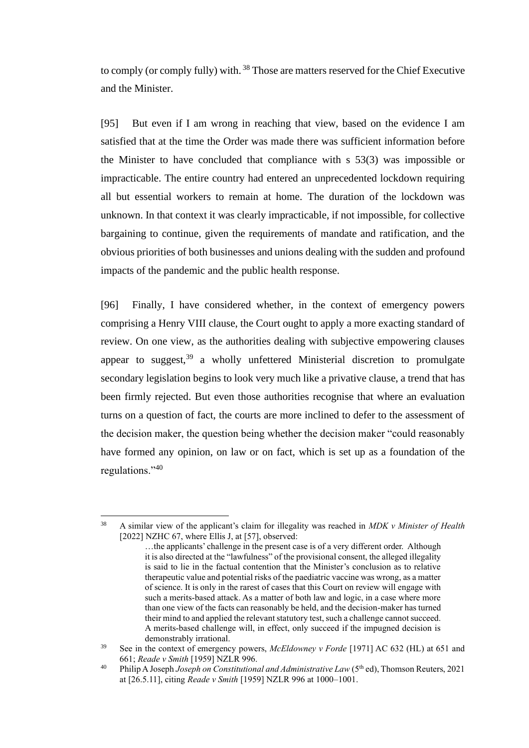to comply (or comply fully) with. <sup>38</sup> Those are matters reserved for the Chief Executive and the Minister.

[95] But even if I am wrong in reaching that view, based on the evidence I am satisfied that at the time the Order was made there was sufficient information before the Minister to have concluded that compliance with s 53(3) was impossible or impracticable. The entire country had entered an unprecedented lockdown requiring all but essential workers to remain at home. The duration of the lockdown was unknown. In that context it was clearly impracticable, if not impossible, for collective bargaining to continue, given the requirements of mandate and ratification, and the obvious priorities of both businesses and unions dealing with the sudden and profound impacts of the pandemic and the public health response.

[96] Finally, I have considered whether, in the context of emergency powers comprising a Henry VIII clause, the Court ought to apply a more exacting standard of review. On one view, as the authorities dealing with subjective empowering clauses appear to suggest,  $39$  a wholly unfettered Ministerial discretion to promulgate secondary legislation begins to look very much like a privative clause, a trend that has been firmly rejected. But even those authorities recognise that where an evaluation turns on a question of fact, the courts are more inclined to defer to the assessment of the decision maker, the question being whether the decision maker "could reasonably have formed any opinion, on law or on fact, which is set up as a foundation of the regulations."<sup>40</sup>

<sup>38</sup> A similar view of the applicant's claim for illegality was reached in *MDK v Minister of Health* [2022] NZHC 67, where Ellis J, at [57], observed:

<sup>…</sup>the applicants' challenge in the present case is of a very different order. Although it is also directed at the "lawfulness" of the provisional consent, the alleged illegality is said to lie in the factual contention that the Minister's conclusion as to relative therapeutic value and potential risks of the paediatric vaccine was wrong, as a matter of science. It is only in the rarest of cases that this Court on review will engage with such a merits-based attack. As a matter of both law and logic, in a case where more than one view of the facts can reasonably be held, and the decision-maker has turned their mind to and applied the relevant statutory test, such a challenge cannot succeed. A merits-based challenge will, in effect, only succeed if the impugned decision is demonstrably irrational.

<sup>39</sup> See in the context of emergency powers, *McEldowney v Forde* [1971] AC 632 (HL) at 651 and 661; *Reade v Smith* [1959] NZLR 996.

<sup>&</sup>lt;sup>40</sup> Philip A Joseph *Joseph on Constitutional and Administrative Law* (5<sup>th</sup> ed), Thomson Reuters, 2021 at [26.5.11], citing *Reade v Smith* [1959] NZLR 996 at 1000–1001.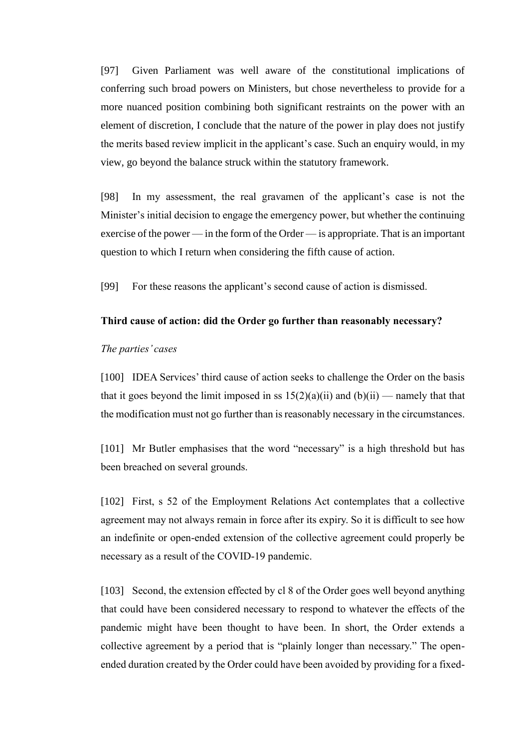[97] Given Parliament was well aware of the constitutional implications of conferring such broad powers on Ministers, but chose nevertheless to provide for a more nuanced position combining both significant restraints on the power with an element of discretion, I conclude that the nature of the power in play does not justify the merits based review implicit in the applicant's case. Such an enquiry would, in my view, go beyond the balance struck within the statutory framework.

<span id="page-29-1"></span>[98] In my assessment, the real gravamen of the applicant's case is not the Minister's initial decision to engage the emergency power, but whether the continuing exercise of the power — in the form of the Order — is appropriate. That is an important question to which I return when considering the fifth cause of action.

[99] For these reasons the applicant's second cause of action is dismissed.

### **Third cause of action: did the Order go further than reasonably necessary?**

### *The parties' cases*

<span id="page-29-0"></span>[100] IDEA Services' third cause of action seeks to challenge the Order on the basis that it goes beyond the limit imposed in ss  $15(2)(a)(ii)$  and  $(b)(ii)$  — namely that that the modification must not go further than is reasonably necessary in the circumstances.

[101] Mr Butler emphasises that the word "necessary" is a high threshold but has been breached on several grounds.

[102] First, s 52 of the Employment Relations Act contemplates that a collective agreement may not always remain in force after its expiry. So it is difficult to see how an indefinite or open-ended extension of the collective agreement could properly be necessary as a result of the COVID-19 pandemic.

[103] Second, the extension effected by cl 8 of the Order goes well beyond anything that could have been considered necessary to respond to whatever the effects of the pandemic might have been thought to have been. In short, the Order extends a collective agreement by a period that is "plainly longer than necessary." The openended duration created by the Order could have been avoided by providing for a fixed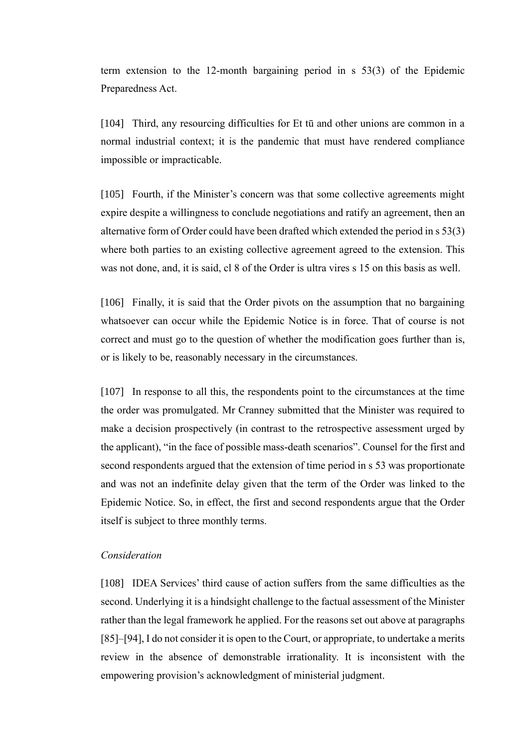term extension to the 12-month bargaining period in s 53(3) of the Epidemic Preparedness Act.

[104] Third, any resourcing difficulties for Et tū and other unions are common in a normal industrial context; it is the pandemic that must have rendered compliance impossible or impracticable.

[105] Fourth, if the Minister's concern was that some collective agreements might expire despite a willingness to conclude negotiations and ratify an agreement, then an alternative form of Order could have been drafted which extended the period in s 53(3) where both parties to an existing collective agreement agreed to the extension. This was not done, and, it is said, cl 8 of the Order is ultra vires s 15 on this basis as well.

[106] Finally, it is said that the Order pivots on the assumption that no bargaining whatsoever can occur while the Epidemic Notice is in force. That of course is not correct and must go to the question of whether the modification goes further than is, or is likely to be, reasonably necessary in the circumstances.

[107] In response to all this, the respondents point to the circumstances at the time the order was promulgated. Mr Cranney submitted that the Minister was required to make a decision prospectively (in contrast to the retrospective assessment urged by the applicant), "in the face of possible mass-death scenarios". Counsel for the first and second respondents argued that the extension of time period in s 53 was proportionate and was not an indefinite delay given that the term of the Order was linked to the Epidemic Notice. So, in effect, the first and second respondents argue that the Order itself is subject to three monthly terms.

# *Consideration*

<span id="page-30-0"></span>[108] IDEA Services' third cause of action suffers from the same difficulties as the second. Underlying it is a hindsight challenge to the factual assessment of the Minister rather than the legal framework he applied. For the reasons set out above at paragraphs [\[85\]–](#page-25-0)[\[94\],](#page-27-0) I do not consider it is open to the Court, or appropriate, to undertake a merits review in the absence of demonstrable irrationality. It is inconsistent with the empowering provision's acknowledgment of ministerial judgment.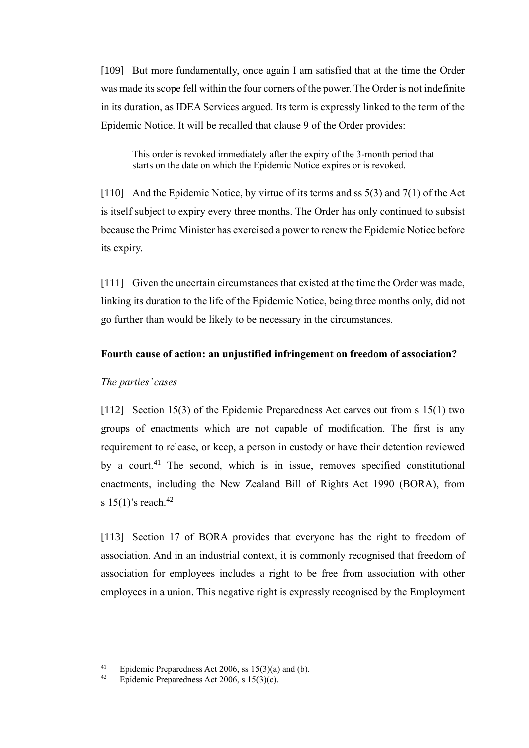[109] But more fundamentally, once again I am satisfied that at the time the Order was made its scope fell within the four corners of the power. The Order is not indefinite in its duration, as IDEA Services argued. Its term is expressly linked to the term of the Epidemic Notice. It will be recalled that clause 9 of the Order provides:

This order is revoked immediately after the expiry of the 3-month period that starts on the date on which the Epidemic Notice expires or is revoked.

[110] And the Epidemic Notice, by virtue of its terms and ss 5(3) and 7(1) of the Act is itself subject to expiry every three months. The Order has only continued to subsist because the Prime Minister has exercised a power to renew the Epidemic Notice before its expiry.

[111] Given the uncertain circumstances that existed at the time the Order was made, linking its duration to the life of the Epidemic Notice, being three months only, did not go further than would be likely to be necessary in the circumstances.

### **Fourth cause of action: an unjustified infringement on freedom of association?**

#### *The parties' cases*

<span id="page-31-0"></span>[112] Section 15(3) of the Epidemic Preparedness Act carves out from s 15(1) two groups of enactments which are not capable of modification. The first is any requirement to release, or keep, a person in custody or have their detention reviewed by a court.<sup>41</sup> The second, which is in issue, removes specified constitutional enactments, including the New Zealand Bill of Rights Act 1990 (BORA), from s  $15(1)$ 's reach.<sup>42</sup>

[113] Section 17 of BORA provides that everyone has the right to freedom of association. And in an industrial context, it is commonly recognised that freedom of association for employees includes a right to be free from association with other employees in a union. This negative right is expressly recognised by the Employment

<sup>41</sup> Epidemic Preparedness Act 2006, ss 15(3)(a) and (b).<br>42 Epidemic Preparedness Act 2006, s 15(3)(a)

Epidemic Preparedness Act 2006, s 15(3)(c).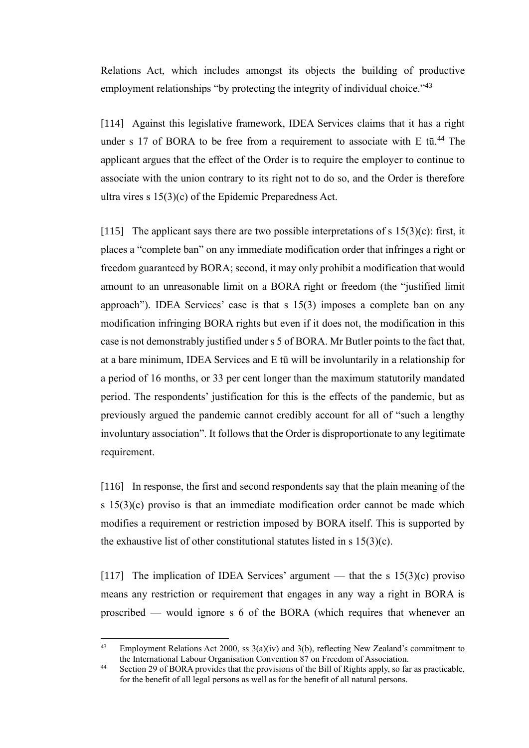Relations Act, which includes amongst its objects the building of productive employment relationships "by protecting the integrity of individual choice."<sup>43</sup>

[114] Against this legislative framework, IDEA Services claims that it has a right under s 17 of BORA to be free from a requirement to associate with E tū.<sup>44</sup> The applicant argues that the effect of the Order is to require the employer to continue to associate with the union contrary to its right not to do so, and the Order is therefore ultra vires s 15(3)(c) of the Epidemic Preparedness Act.

[115] The applicant says there are two possible interpretations of s  $15(3)(c)$ : first, it places a "complete ban" on any immediate modification order that infringes a right or freedom guaranteed by BORA; second, it may only prohibit a modification that would amount to an unreasonable limit on a BORA right or freedom (the "justified limit approach"). IDEA Services' case is that s 15(3) imposes a complete ban on any modification infringing BORA rights but even if it does not, the modification in this case is not demonstrably justified under s 5 of BORA. Mr Butler points to the fact that, at a bare minimum, IDEA Services and E tū will be involuntarily in a relationship for a period of 16 months, or 33 per cent longer than the maximum statutorily mandated period. The respondents' justification for this is the effects of the pandemic, but as previously argued the pandemic cannot credibly account for all of "such a lengthy involuntary association". It follows that the Order is disproportionate to any legitimate requirement.

[116] In response, the first and second respondents say that the plain meaning of the s 15(3)(c) proviso is that an immediate modification order cannot be made which modifies a requirement or restriction imposed by BORA itself. This is supported by the exhaustive list of other constitutional statutes listed in s  $15(3)(c)$ .

[117] The implication of IDEA Services' argument — that the s  $15(3)(c)$  proviso means any restriction or requirement that engages in any way a right in BORA is proscribed — would ignore s 6 of the BORA (which requires that whenever an

<sup>&</sup>lt;sup>43</sup> Employment Relations Act 2000, ss  $3(a)(iv)$  and  $3(b)$ , reflecting New Zealand's commitment to the International Labour Organisation Convention 87 on Freedom of Association.

<sup>&</sup>lt;sup>44</sup> Section 29 of BORA provides that the provisions of the Bill of Rights apply, so far as practicable, for the benefit of all legal persons as well as for the benefit of all natural persons.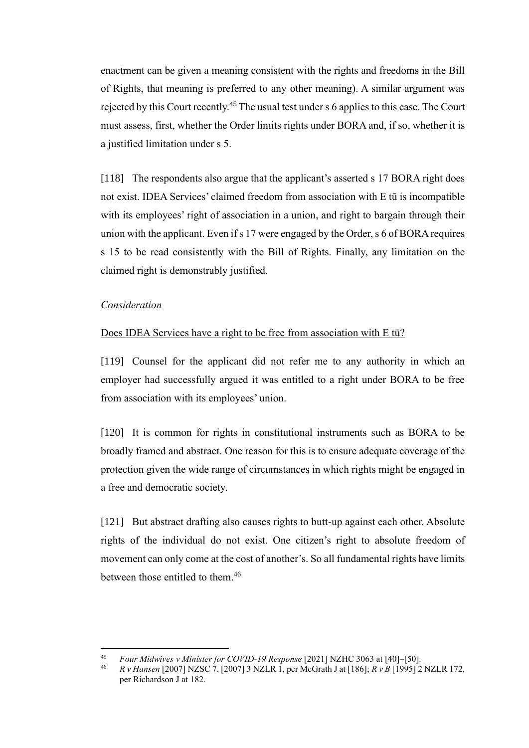enactment can be given a meaning consistent with the rights and freedoms in the Bill of Rights, that meaning is preferred to any other meaning). A similar argument was rejected by this Court recently.<sup>45</sup> The usual test under s 6 applies to this case. The Court must assess, first, whether the Order limits rights under BORA and, if so, whether it is a justified limitation under s 5.

[118] The respondents also argue that the applicant's asserted s 17 BORA right does not exist. IDEA Services' claimed freedom from association with E tū is incompatible with its employees' right of association in a union, and right to bargain through their union with the applicant. Even if s 17 were engaged by the Order, s 6 of BORA requires s 15 to be read consistently with the Bill of Rights. Finally, any limitation on the claimed right is demonstrably justified.

# *Consideration*

### Does IDEA Services have a right to be free from association with E tū?

<span id="page-33-0"></span>[119] Counsel for the applicant did not refer me to any authority in which an employer had successfully argued it was entitled to a right under BORA to be free from association with its employees' union.

[120] It is common for rights in constitutional instruments such as BORA to be broadly framed and abstract. One reason for this is to ensure adequate coverage of the protection given the wide range of circumstances in which rights might be engaged in a free and democratic society.

[121] But abstract drafting also causes rights to butt-up against each other. Absolute rights of the individual do not exist. One citizen's right to absolute freedom of movement can only come at the cost of another's. So all fundamental rights have limits between those entitled to them.<sup>46</sup>

<sup>45</sup> *Four Midwives v Minister for COVID-19 Response* [2021] NZHC 3063 at [40]–[50].

<sup>46</sup> *R v Hansen* [2007] NZSC 7, [2007] 3 NZLR 1, per McGrath J at [186]; *R v B* [1995] 2 NZLR 172, per Richardson J at 182.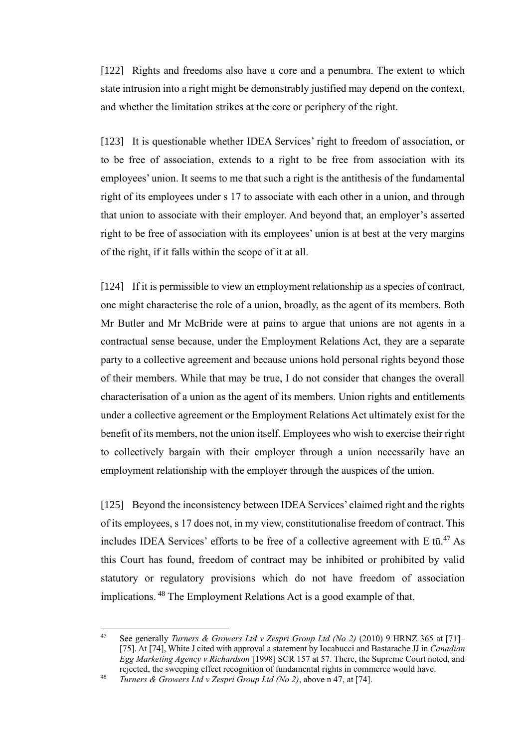[122] Rights and freedoms also have a core and a penumbra. The extent to which state intrusion into a right might be demonstrably justified may depend on the context, and whether the limitation strikes at the core or periphery of the right.

[123] It is questionable whether IDEA Services' right to freedom of association, or to be free of association, extends to a right to be free from association with its employees' union. It seems to me that such a right is the antithesis of the fundamental right of its employees under s 17 to associate with each other in a union, and through that union to associate with their employer. And beyond that, an employer's asserted right to be free of association with its employees' union is at best at the very margins of the right, if it falls within the scope of it at all.

[124] If it is permissible to view an employment relationship as a species of contract, one might characterise the role of a union, broadly, as the agent of its members. Both Mr Butler and Mr McBride were at pains to argue that unions are not agents in a contractual sense because, under the Employment Relations Act, they are a separate party to a collective agreement and because unions hold personal rights beyond those of their members. While that may be true, I do not consider that changes the overall characterisation of a union as the agent of its members. Union rights and entitlements under a collective agreement or the Employment Relations Act ultimately exist for the benefit of its members, not the union itself. Employees who wish to exercise their right to collectively bargain with their employer through a union necessarily have an employment relationship with the employer through the auspices of the union.

<span id="page-34-0"></span>[125] Beyond the inconsistency between IDEA Services' claimed right and the rights of its employees, s 17 does not, in my view, constitutionalise freedom of contract. This includes IDEA Services' efforts to be free of a collective agreement with E  $t\overline{u}$ .<sup>47</sup> As this Court has found, freedom of contract may be inhibited or prohibited by valid statutory or regulatory provisions which do not have freedom of association implications. <sup>48</sup> The Employment Relations Act is a good example of that.

<sup>47</sup> See generally *Turners & Growers Ltd v Zespri Group Ltd (No 2)* (2010) 9 HRNZ 365 at [71]– [75]. At [74], White J cited with approval a statement by Iocabucci and Bastarache JJ in *Canadian Egg Marketing Agency v Richardson* [1998] SCR 157 at 57. There, the Supreme Court noted, and rejected, the sweeping effect recognition of fundamental rights in commerce would have.

<sup>48</sup> *Turners & Growers Ltd v Zespri Group Ltd (No 2)*, above n [47,](#page-34-0) at [74].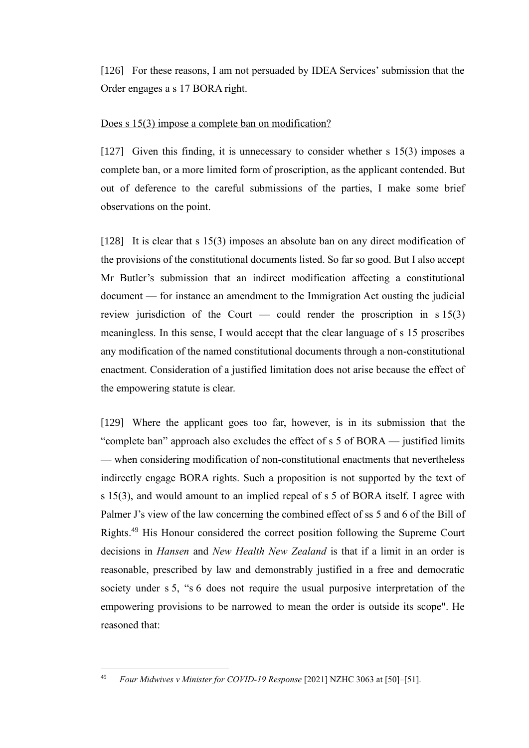[126] For these reasons, I am not persuaded by IDEA Services' submission that the Order engages a s 17 BORA right.

# Does s 15(3) impose a complete ban on modification?

<span id="page-35-0"></span>[127] Given this finding, it is unnecessary to consider whether s 15(3) imposes a complete ban, or a more limited form of proscription, as the applicant contended. But out of deference to the careful submissions of the parties, I make some brief observations on the point.

[128] It is clear that s 15(3) imposes an absolute ban on any direct modification of the provisions of the constitutional documents listed. So far so good. But I also accept Mr Butler's submission that an indirect modification affecting a constitutional document — for instance an amendment to the Immigration Act ousting the judicial review jurisdiction of the Court — could render the proscription in  $s 15(3)$ meaningless. In this sense, I would accept that the clear language of s 15 proscribes any modification of the named constitutional documents through a non-constitutional enactment. Consideration of a justified limitation does not arise because the effect of the empowering statute is clear.

[129] Where the applicant goes too far, however, is in its submission that the "complete ban" approach also excludes the effect of s 5 of BORA — justified limits — when considering modification of non-constitutional enactments that nevertheless indirectly engage BORA rights. Such a proposition is not supported by the text of s 15(3), and would amount to an implied repeal of s 5 of BORA itself. I agree with Palmer J's view of the law concerning the combined effect of ss 5 and 6 of the Bill of Rights.<sup>49</sup> His Honour considered the correct position following the Supreme Court decisions in *Hansen* and *New Health New Zealand* is that if a limit in an order is reasonable, prescribed by law and demonstrably justified in a free and democratic society under s 5, "s 6 does not require the usual purposive interpretation of the empowering provisions to be narrowed to mean the order is outside its scope". He reasoned that:

<sup>49</sup> *Four Midwives v Minister for COVID-19 Response* [2021] NZHC 3063 at [50]–[51].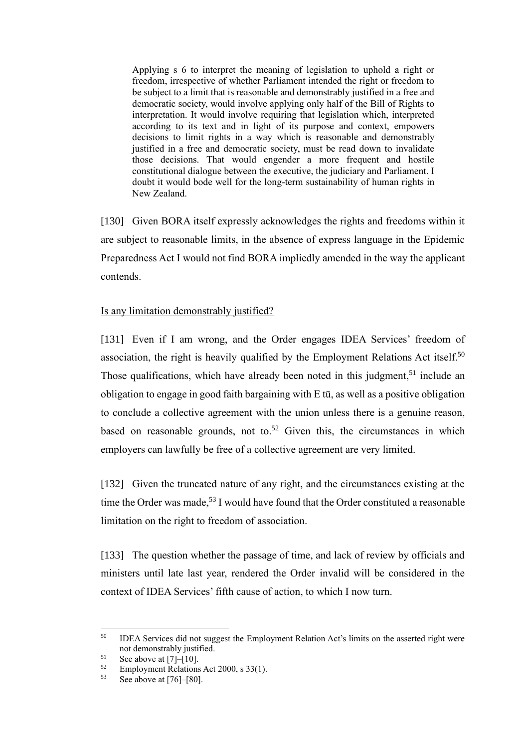Applying s 6 to interpret the meaning of legislation to uphold a right or freedom, irrespective of whether Parliament intended the right or freedom to be subject to a limit that is reasonable and demonstrably justified in a free and democratic society, would involve applying only half of the Bill of Rights to interpretation. It would involve requiring that legislation which, interpreted according to its text and in light of its purpose and context, empowers decisions to limit rights in a way which is reasonable and demonstrably justified in a free and democratic society, must be read down to invalidate those decisions. That would engender a more frequent and hostile constitutional dialogue between the executive, the judiciary and Parliament. I doubt it would bode well for the long-term sustainability of human rights in New Zealand.

[130] Given BORA itself expressly acknowledges the rights and freedoms within it are subject to reasonable limits, in the absence of express language in the Epidemic Preparedness Act I would not find BORA impliedly amended in the way the applicant contends.

# Is any limitation demonstrably justified?

<span id="page-36-0"></span>[131] Even if I am wrong, and the Order engages IDEA Services' freedom of association, the right is heavily qualified by the Employment Relations Act itself.<sup>50</sup> Those qualifications, which have already been noted in this judgment,  $51$  include an obligation to engage in good faith bargaining with E tū, as well as a positive obligation to conclude a collective agreement with the union unless there is a genuine reason, based on reasonable grounds, not to.<sup>52</sup> Given this, the circumstances in which employers can lawfully be free of a collective agreement are very limited.

[132] Given the truncated nature of any right, and the circumstances existing at the time the Order was made,<sup>53</sup> I would have found that the Order constituted a reasonable limitation on the right to freedom of association.

[133] The question whether the passage of time, and lack of review by officials and ministers until late last year, rendered the Order invalid will be considered in the context of IDEA Services' fifth cause of action, to which I now turn.

<sup>&</sup>lt;sup>50</sup> IDEA Services did not suggest the Employment Relation Act's limits on the asserted right were not demonstrably justified.

 $51$  See above a[t \[7\]–](#page-3-0)[\[10\].](#page-4-1)

 $^{52}$  Employment Relations Act 2000, s 33(1).<br> $^{53}$  See above at [761–[80]

See above at  $[76]$ – $[80]$ .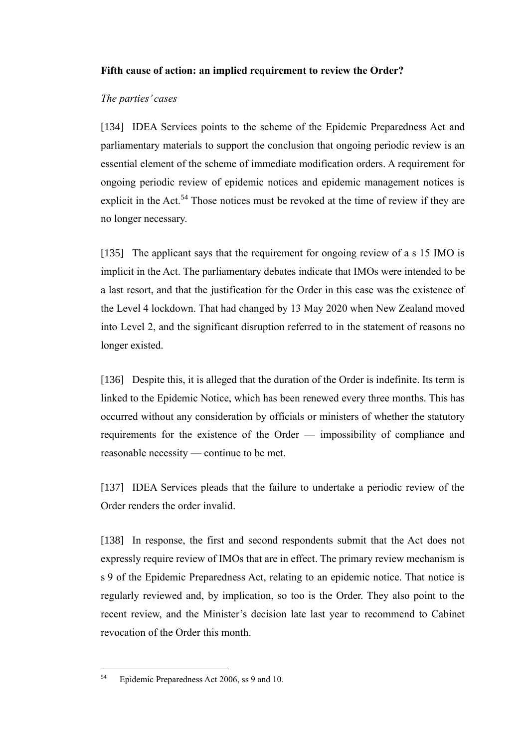# **Fifth cause of action: an implied requirement to review the Order?**

# *The parties' cases*

<span id="page-37-0"></span>[134] IDEA Services points to the scheme of the Epidemic Preparedness Act and parliamentary materials to support the conclusion that ongoing periodic review is an essential element of the scheme of immediate modification orders. A requirement for ongoing periodic review of epidemic notices and epidemic management notices is explicit in the Act.<sup>54</sup> Those notices must be revoked at the time of review if they are no longer necessary.

[135] The applicant says that the requirement for ongoing review of a s 15 IMO is implicit in the Act. The parliamentary debates indicate that IMOs were intended to be a last resort, and that the justification for the Order in this case was the existence of the Level 4 lockdown. That had changed by 13 May 2020 when New Zealand moved into Level 2, and the significant disruption referred to in the statement of reasons no longer existed.

[136] Despite this, it is alleged that the duration of the Order is indefinite. Its term is linked to the Epidemic Notice, which has been renewed every three months. This has occurred without any consideration by officials or ministers of whether the statutory requirements for the existence of the Order — impossibility of compliance and reasonable necessity — continue to be met.

[137] IDEA Services pleads that the failure to undertake a periodic review of the Order renders the order invalid.

[138] In response, the first and second respondents submit that the Act does not expressly require review of IMOs that are in effect. The primary review mechanism is s 9 of the Epidemic Preparedness Act, relating to an epidemic notice. That notice is regularly reviewed and, by implication, so too is the Order. They also point to the recent review, and the Minister's decision late last year to recommend to Cabinet revocation of the Order this month.

<sup>54</sup> Epidemic Preparedness Act 2006, ss 9 and 10.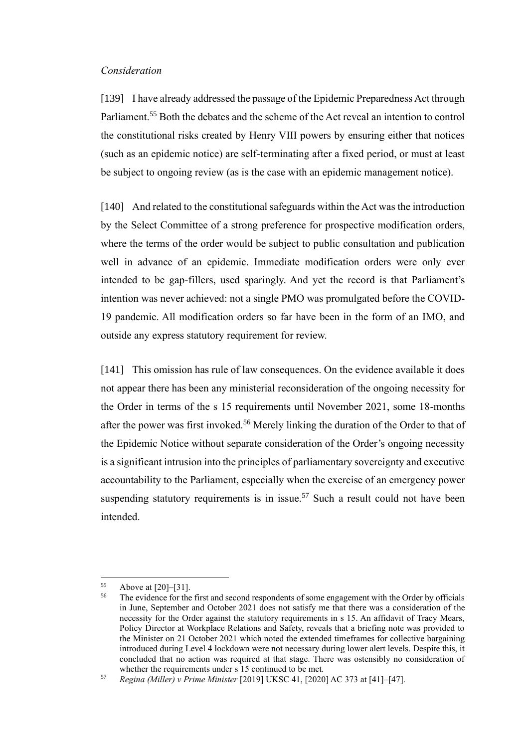### *Consideration*

<span id="page-38-0"></span>[139] I have already addressed the passage of the Epidemic Preparedness Act through Parliament.<sup>55</sup> Both the debates and the scheme of the Act reveal an intention to control the constitutional risks created by Henry VIII powers by ensuring either that notices (such as an epidemic notice) are self-terminating after a fixed period, or must at least be subject to ongoing review (as is the case with an epidemic management notice).

[140] And related to the constitutional safeguards within the Act was the introduction by the Select Committee of a strong preference for prospective modification orders, where the terms of the order would be subject to public consultation and publication well in advance of an epidemic. Immediate modification orders were only ever intended to be gap-fillers, used sparingly. And yet the record is that Parliament's intention was never achieved: not a single PMO was promulgated before the COVID-19 pandemic. All modification orders so far have been in the form of an IMO, and outside any express statutory requirement for review.

[141] This omission has rule of law consequences. On the evidence available it does not appear there has been any ministerial reconsideration of the ongoing necessity for the Order in terms of the s 15 requirements until November 2021, some 18-months after the power was first invoked.<sup>56</sup> Merely linking the duration of the Order to that of the Epidemic Notice without separate consideration of the Order's ongoing necessity is a significant intrusion into the principles of parliamentary sovereignty and executive accountability to the Parliament, especially when the exercise of an emergency power suspending statutory requirements is in issue.<sup>57</sup> Such a result could not have been intended.

 $^{55}$  Above a[t \[20\]](#page-7-0)[–\[31\].](#page-11-1)<br> $^{56}$  The evidence for the

The evidence for the first and second respondents of some engagement with the Order by officials in June, September and October 2021 does not satisfy me that there was a consideration of the necessity for the Order against the statutory requirements in s 15. An affidavit of Tracy Mears, Policy Director at Workplace Relations and Safety, reveals that a briefing note was provided to the Minister on 21 October 2021 which noted the extended timeframes for collective bargaining introduced during Level 4 lockdown were not necessary during lower alert levels. Despite this, it concluded that no action was required at that stage. There was ostensibly no consideration of whether the requirements under s 15 continued to be met.

<sup>57</sup> *Regina (Miller) v Prime Minister* [2019] UKSC 41, [2020] AC 373 at [41]–[47].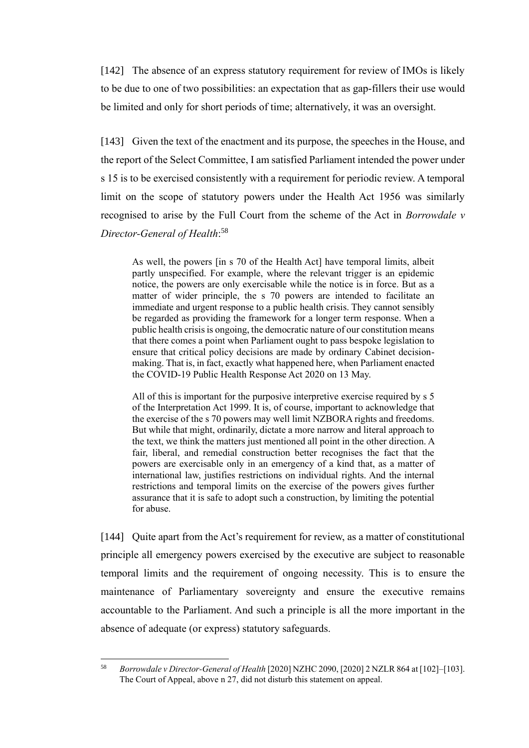[142] The absence of an express statutory requirement for review of IMOs is likely to be due to one of two possibilities: an expectation that as gap-fillers their use would be limited and only for short periods of time; alternatively, it was an oversight.

[143] Given the text of the enactment and its purpose, the speeches in the House, and the report of the Select Committee, I am satisfied Parliament intended the power under s 15 is to be exercised consistently with a requirement for periodic review. A temporal limit on the scope of statutory powers under the Health Act 1956 was similarly recognised to arise by the Full Court from the scheme of the Act in *Borrowdale v Director-General of Health*: 58

As well, the powers [in s 70 of the Health Act] have temporal limits, albeit partly unspecified. For example, where the relevant trigger is an epidemic notice, the powers are only exercisable while the notice is in force. But as a matter of wider principle, the s 70 powers are intended to facilitate an immediate and urgent response to a public health crisis. They cannot sensibly be regarded as providing the framework for a longer term response. When a public health crisis is ongoing, the democratic nature of our constitution means that there comes a point when Parliament ought to pass bespoke legislation to ensure that critical policy decisions are made by ordinary Cabinet decisionmaking. That is, in fact, exactly what happened here, when Parliament enacted the COVID-19 Public Health Response Act 2020 on 13 May.

All of this is important for the purposive interpretive exercise required by s 5 of the Interpretation Act 1999. It is, of course, important to acknowledge that the exercise of the s 70 powers may well limit NZBORA rights and freedoms. But while that might, ordinarily, dictate a more narrow and literal approach to the text, we think the matters just mentioned all point in the other direction. A fair, liberal, and remedial construction better recognises the fact that the powers are exercisable only in an emergency of a kind that, as a matter of international law, justifies restrictions on individual rights. And the internal restrictions and temporal limits on the exercise of the powers gives further assurance that it is safe to adopt such a construction, by limiting the potential for abuse.

[144] Quite apart from the Act's requirement for review, as a matter of constitutional principle all emergency powers exercised by the executive are subject to reasonable temporal limits and the requirement of ongoing necessity. This is to ensure the maintenance of Parliamentary sovereignty and ensure the executive remains accountable to the Parliament. And such a principle is all the more important in the absence of adequate (or express) statutory safeguards.

<sup>58</sup> *Borrowdale v Director-General of Health* [2020] NZHC 2090, [2020] 2 NZLR 864 at [102]–[103]. The Court of Appeal, above n [27,](#page-11-2) did not disturb this statement on appeal.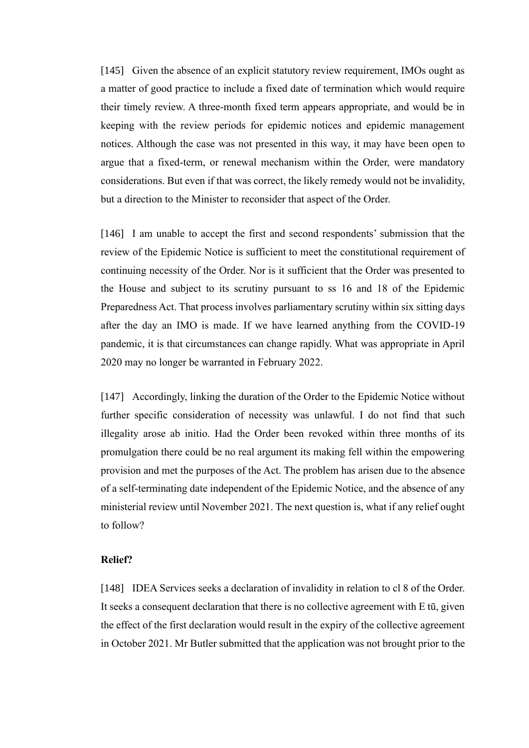[145] Given the absence of an explicit statutory review requirement, IMOs ought as a matter of good practice to include a fixed date of termination which would require their timely review. A three-month fixed term appears appropriate, and would be in keeping with the review periods for epidemic notices and epidemic management notices. Although the case was not presented in this way, it may have been open to argue that a fixed-term, or renewal mechanism within the Order, were mandatory considerations. But even if that was correct, the likely remedy would not be invalidity, but a direction to the Minister to reconsider that aspect of the Order.

[146] I am unable to accept the first and second respondents' submission that the review of the Epidemic Notice is sufficient to meet the constitutional requirement of continuing necessity of the Order. Nor is it sufficient that the Order was presented to the House and subject to its scrutiny pursuant to ss 16 and 18 of the Epidemic Preparedness Act. That process involves parliamentary scrutiny within six sitting days after the day an IMO is made. If we have learned anything from the COVID-19 pandemic, it is that circumstances can change rapidly. What was appropriate in April 2020 may no longer be warranted in February 2022.

[147] Accordingly, linking the duration of the Order to the Epidemic Notice without further specific consideration of necessity was unlawful. I do not find that such illegality arose ab initio. Had the Order been revoked within three months of its promulgation there could be no real argument its making fell within the empowering provision and met the purposes of the Act. The problem has arisen due to the absence of a self-terminating date independent of the Epidemic Notice, and the absence of any ministerial review until November 2021. The next question is, what if any relief ought to follow?

# **Relief?**

<span id="page-40-0"></span>[148] IDEA Services seeks a declaration of invalidity in relation to cl 8 of the Order. It seeks a consequent declaration that there is no collective agreement with E tū, given the effect of the first declaration would result in the expiry of the collective agreement in October 2021. Mr Butler submitted that the application was not brought prior to the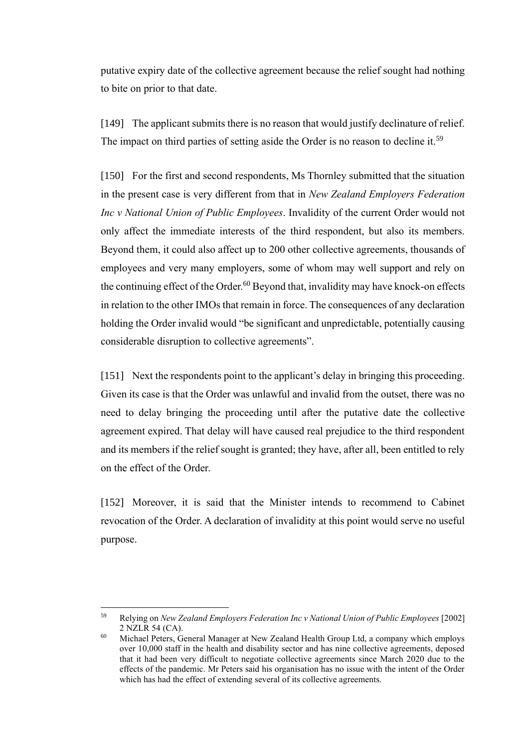putative expiry date of the collective agreement because the relief sought had nothing to bite on prior to that date.

[149] The applicant submits there is no reason that would justify declinature of relief. The impact on third parties of setting aside the Order is no reason to decline it.<sup>59</sup>

[150] For the first and second respondents, Ms Thornley submitted that the situation in the present case is very different from that in *New Zealand Employers Federation Inc v National Union of Public Employees*. Invalidity of the current Order would not only affect the immediate interests of the third respondent, but also its members. Beyond them, it could also affect up to 200 other collective agreements, thousands of employees and very many employers, some of whom may well support and rely on the continuing effect of the Order. $60$  Beyond that, invalidity may have knock-on effects in relation to the other IMOs that remain in force. The consequences of any declaration holding the Order invalid would "be significant and unpredictable, potentially causing considerable disruption to collective agreements".

[151] Next the respondents point to the applicant's delay in bringing this proceeding. Given its case is that the Order was unlawful and invalid from the outset, there was no need to delay bringing the proceeding until after the putative date the collective agreement expired. That delay will have caused real prejudice to the third respondent and its members if the relief sought is granted; they have, after all, been entitled to rely on the effect of the Order.

[152] Moreover, it is said that the Minister intends to recommend to Cabinet revocation of the Order. A declaration of invalidity at this point would serve no useful purpose.

<sup>59</sup> Relying on *New Zealand Employers Federation Inc v National Union of Public Employees* [2002] 2 NZLR 54 (CA).

<sup>&</sup>lt;sup>60</sup> Michael Peters, General Manager at New Zealand Health Group Ltd, a company which employs over 10,000 staff in the health and disability sector and has nine collective agreements, deposed that it had been very difficult to negotiate collective agreements since March 2020 due to the effects of the pandemic. Mr Peters said his organisation has no issue with the intent of the Order which has had the effect of extending several of its collective agreements.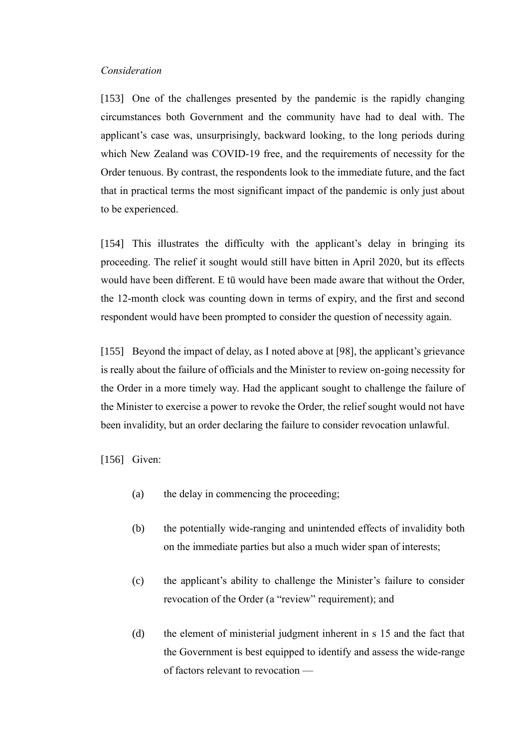### *Consideration*

<span id="page-42-0"></span>[153] One of the challenges presented by the pandemic is the rapidly changing circumstances both Government and the community have had to deal with. The applicant's case was, unsurprisingly, backward looking, to the long periods during which New Zealand was COVID-19 free, and the requirements of necessity for the Order tenuous. By contrast, the respondents look to the immediate future, and the fact that in practical terms the most significant impact of the pandemic is only just about to be experienced.

[154] This illustrates the difficulty with the applicant's delay in bringing its proceeding. The relief it sought would still have bitten in April 2020, but its effects would have been different. E tū would have been made aware that without the Order, the 12-month clock was counting down in terms of expiry, and the first and second respondent would have been prompted to consider the question of necessity again.

[155] Beyond the impact of delay, as I noted above at [\[98\],](#page-29-1) the applicant's grievance is really about the failure of officials and the Minister to review on-going necessity for the Order in a more timely way. Had the applicant sought to challenge the failure of the Minister to exercise a power to revoke the Order, the relief sought would not have been invalidity, but an order declaring the failure to consider revocation unlawful.

[156] Given:

- (a) the delay in commencing the proceeding;
- (b) the potentially wide-ranging and unintended effects of invalidity both on the immediate parties but also a much wider span of interests;
- (c) the applicant's ability to challenge the Minister's failure to consider revocation of the Order (a "review" requirement); and
- (d) the element of ministerial judgment inherent in s 15 and the fact that the Government is best equipped to identify and assess the wide-range of factors relevant to revocation —